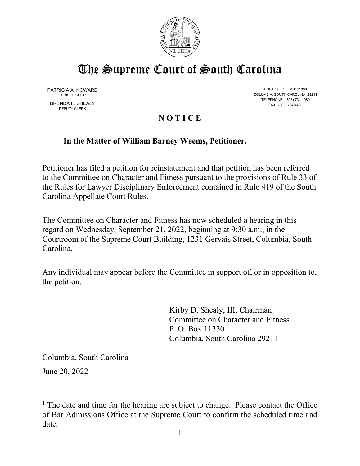

# The Supreme Court of South Carolina

DEPUTY CLERK

PATRICIA A. HOWARD POST OFFICE BOX 11330<br>CLERK OF COURT CONTROLLINA COLUMBIA, SOUTH CAROLINA 29211 TELEPHONE: (803) 734-1080 BRENDA F. SHEALY FAX: (803) 734-1499

# **N O T I C E**

# **In the Matter of William Barney Weems, Petitioner.**

Petitioner has filed a petition for reinstatement and that petition has been referred to the Committee on Character and Fitness pursuant to the provisions of Rule 33 of the Rules for Lawyer Disciplinary Enforcement contained in Rule 419 of the South Carolina Appellate Court Rules.

The Committee on Character and Fitness has now scheduled a hearing in this regard on Wednesday, September 21, 2022, beginning at 9:30 a.m., in the Courtroom of the Supreme Court Building, 1231 Gervais Street, Columbia, South  $Carolina<sup>1</sup>$  $Carolina<sup>1</sup>$  $Carolina<sup>1</sup>$ 

Any individual may appear before the Committee in support of, or in opposition to, the petition.

> Kirby D. Shealy, III, Chairman Committee on Character and Fitness P. O. Box 11330 Columbia, South Carolina 29211

Columbia, South Carolina

June 20, 2022

<span id="page-0-0"></span> $<sup>1</sup>$  The date and time for the hearing are subject to change. Please contact the Office</sup> of Bar Admissions Office at the Supreme Court to confirm the scheduled time and date.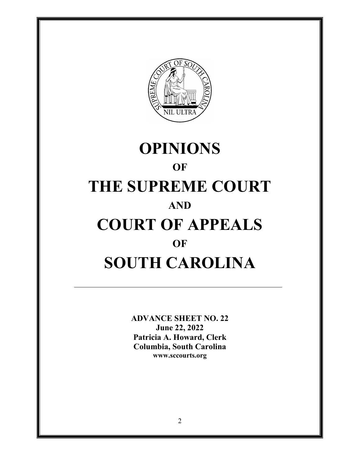

# **OPINIONS OF THE SUPREME COURT AND COURT OF APPEALS OF SOUTH CAROLINA**

**ADVANCE SHEET NO. 22 June 22, 2022 Patricia A. Howard, Clerk Columbia, South Carolina www.sccourts.org**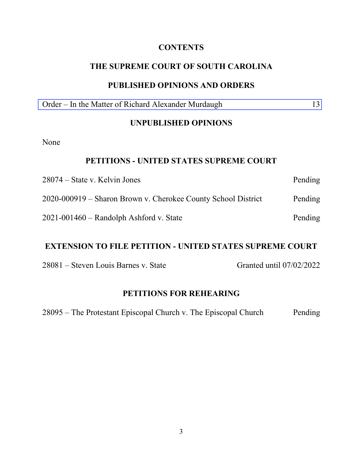# **CONTENTS**

# **THE SUPREME COURT OF SOUTH CAROLINA**

#### **PUBLISHED OPINIONS AND ORDERS**

Order – [In the Matter of Richard Alexander Murdaugh](#page-12-0) 13

## **UNPUBLISHED OPINIONS**

None

#### **PETITIONS - UNITED STATES SUPREME COURT**

| $28074 - State v. Kelvin Jones$                               | Pending |
|---------------------------------------------------------------|---------|
| 2020-000919 – Sharon Brown v. Cherokee County School District | Pending |
| $2021 - 001460$ – Randolph Ashford v. State                   | Pending |

#### **EXTENSION TO FILE PETITION - UNITED STATES SUPREME COURT**

28081 – Steven Louis Barnes v. State Granted until 07/02/2022

#### **PETITIONS FOR REHEARING**

28095 – The Protestant Episcopal Church v. The Episcopal Church Pending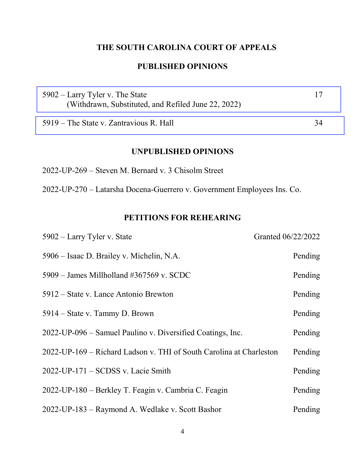# **THE SOUTH CAROLINA COURT OF APPEALS**

# **PUBLISHED OPINIONS**

| $5902 -$ Larry Tyler v. The State                   |  |
|-----------------------------------------------------|--|
| (Withdrawn, Substituted, and Refiled June 22, 2022) |  |
|                                                     |  |

[5919 – The State v. Zantravious R. Hall](#page-33-0) 34

#### **UNPUBLISHED OPINIONS**

2022-UP-269 – Steven M. Bernard v. 3 Chisolm Street

2022-UP-270 – Latarsha Docena-Guerrero v. Government Employees Ins. Co.

# **PETITIONS FOR REHEARING**

| 5902 – Larry Tyler v. State                                         | Granted 06/22/2022 |
|---------------------------------------------------------------------|--------------------|
| 5906 – Isaac D. Brailey v. Michelin, N.A.                           | Pending            |
| $5909$ – James Millholland #367569 v. SCDC                          | Pending            |
| 5912 – State v. Lance Antonio Brewton                               | Pending            |
| 5914 – State v. Tammy D. Brown                                      | Pending            |
| 2022-UP-096 – Samuel Paulino v. Diversified Coatings, Inc.          | Pending            |
| 2022-UP-169 – Richard Ladson v. THI of South Carolina at Charleston | Pending            |
| 2022-UP-171 - SCDSS v. Lacie Smith                                  | Pending            |
| 2022-UP-180 – Berkley T. Feagin v. Cambria C. Feagin                | Pending            |
| 2022-UP-183 – Raymond A. Wedlake v. Scott Bashor                    | Pending            |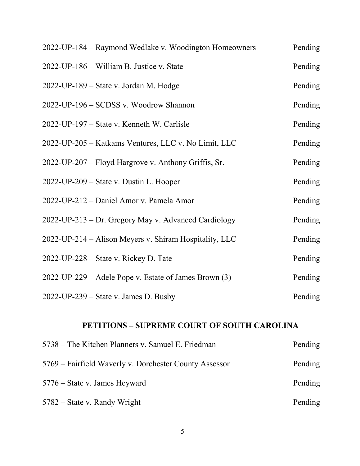| 2022-UP-184 – Raymond Wedlake v. Woodington Homeowners | Pending |
|--------------------------------------------------------|---------|
| 2022-UP-186 – William B. Justice v. State              | Pending |
| 2022-UP-189 – State v. Jordan M. Hodge                 | Pending |
| 2022-UP-196 - SCDSS v. Woodrow Shannon                 | Pending |
| 2022-UP-197 – State v. Kenneth W. Carlisle             | Pending |
| 2022-UP-205 - Katkams Ventures, LLC v. No Limit, LLC   | Pending |
| 2022-UP-207 – Floyd Hargrove v. Anthony Griffis, Sr.   | Pending |
| 2022-UP-209 – State v. Dustin L. Hooper                | Pending |
| 2022-UP-212 - Daniel Amor v. Pamela Amor               | Pending |
| 2022-UP-213 – Dr. Gregory May v. Advanced Cardiology   | Pending |
| 2022-UP-214 – Alison Meyers v. Shiram Hospitality, LLC | Pending |
| 2022-UP-228 – State v. Rickey D. Tate                  | Pending |
| 2022-UP-229 – Adele Pope v. Estate of James Brown (3)  | Pending |
| 2022-UP-239 - State v. James D. Busby                  | Pending |

# **PETITIONS – SUPREME COURT OF SOUTH CAROLINA**

| 5738 – The Kitchen Planners v. Samuel E. Friedman      | Pending |
|--------------------------------------------------------|---------|
| 5769 – Fairfield Waverly v. Dorchester County Assessor | Pending |
| 5776 – State v. James Heyward                          | Pending |
| $5782$ – State v. Randy Wright                         | Pending |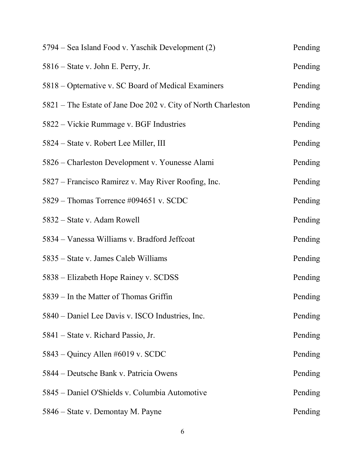| 5794 – Sea Island Food v. Yaschik Development (2)             | Pending |
|---------------------------------------------------------------|---------|
| 5816 – State v. John E. Perry, Jr.                            | Pending |
| 5818 – Opternative v. SC Board of Medical Examiners           | Pending |
| 5821 – The Estate of Jane Doe 202 v. City of North Charleston | Pending |
| 5822 – Vickie Rummage v. BGF Industries                       | Pending |
| 5824 – State v. Robert Lee Miller, III                        | Pending |
| 5826 – Charleston Development v. Younesse Alami               | Pending |
| 5827 – Francisco Ramirez v. May River Roofing, Inc.           | Pending |
| 5829 – Thomas Torrence #094651 v. SCDC                        | Pending |
| 5832 – State v. Adam Rowell                                   | Pending |
| 5834 – Vanessa Williams v. Bradford Jeffcoat                  | Pending |
| 5835 – State v. James Caleb Williams                          | Pending |
| 5838 – Elizabeth Hope Rainey v. SCDSS                         | Pending |
| 5839 – In the Matter of Thomas Griffin                        | Pending |
| 5840 – Daniel Lee Davis v. ISCO Industries, Inc.              | Pending |
| 5841 – State v. Richard Passio, Jr.                           | Pending |
| 5843 – Quincy Allen #6019 v. SCDC                             | Pending |
| 5844 – Deutsche Bank v. Patricia Owens                        | Pending |
| 5845 – Daniel O'Shields v. Columbia Automotive                | Pending |
| 5846 - State v. Demontay M. Payne                             | Pending |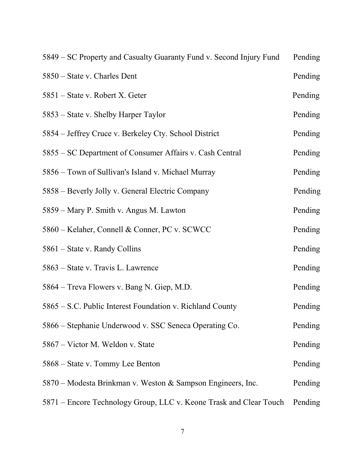| 5849 – SC Property and Casualty Guaranty Fund v. Second Injury Fund | Pending |
|---------------------------------------------------------------------|---------|
| 5850 – State v. Charles Dent                                        | Pending |
| 5851 – State v. Robert X. Geter                                     | Pending |
| 5853 – State v. Shelby Harper Taylor                                | Pending |
| 5854 – Jeffrey Cruce v. Berkeley Cty. School District               | Pending |
| 5855 – SC Department of Consumer Affairs v. Cash Central            | Pending |
| 5856 – Town of Sullivan's Island v. Michael Murray                  | Pending |
| 5858 – Beverly Jolly v. General Electric Company                    | Pending |
| 5859 – Mary P. Smith v. Angus M. Lawton                             | Pending |
| 5860 – Kelaher, Connell & Conner, PC v. SCWCC                       | Pending |
| 5861 – State v. Randy Collins                                       | Pending |
| 5863 - State v. Travis L. Lawrence                                  | Pending |
| 5864 – Treva Flowers v. Bang N. Giep, M.D.                          | Pending |
| 5865 – S.C. Public Interest Foundation v. Richland County           | Pending |
| 5866 – Stephanie Underwood v. SSC Seneca Operating Co.              | Pending |
| 5867 – Victor M. Weldon v. State                                    | Pending |
| 5868 – State v. Tommy Lee Benton                                    | Pending |
| 5870 – Modesta Brinkman v. Weston & Sampson Engineers, Inc.         | Pending |
| 5871 – Encore Technology Group, LLC v. Keone Trask and Clear Touch  | Pending |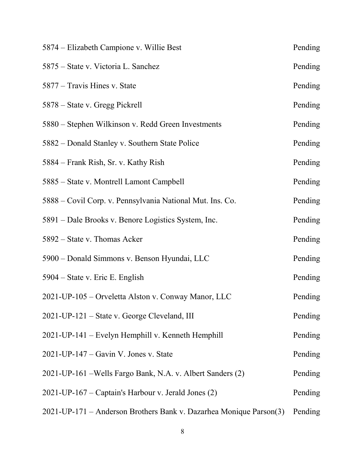| 5874 – Elizabeth Campione v. Willie Best                           | Pending |
|--------------------------------------------------------------------|---------|
| 5875 – State v. Victoria L. Sanchez                                | Pending |
| 5877 – Travis Hines v. State                                       | Pending |
| 5878 – State v. Gregg Pickrell                                     | Pending |
| 5880 – Stephen Wilkinson v. Redd Green Investments                 | Pending |
| 5882 – Donald Stanley v. Southern State Police                     | Pending |
| 5884 – Frank Rish, Sr. v. Kathy Rish                               | Pending |
| 5885 - State v. Montrell Lamont Campbell                           | Pending |
| 5888 – Covil Corp. v. Pennsylvania National Mut. Ins. Co.          | Pending |
| 5891 – Dale Brooks v. Benore Logistics System, Inc.                | Pending |
| 5892 – State v. Thomas Acker                                       | Pending |
| 5900 – Donald Simmons v. Benson Hyundai, LLC                       | Pending |
| 5904 – State v. Eric E. English                                    | Pending |
| 2021-UP-105 - Orveletta Alston v. Conway Manor, LLC                | Pending |
| 2021-UP-121 – State v. George Cleveland, III                       | Pending |
| 2021-UP-141 - Evelyn Hemphill v. Kenneth Hemphill                  | Pending |
| $2021$ -UP-147 – Gavin V. Jones v. State                           | Pending |
| 2021-UP-161 – Wells Fargo Bank, N.A. v. Albert Sanders (2)         | Pending |
| 2021-UP-167 – Captain's Harbour v. Jerald Jones (2)                | Pending |
| 2021-UP-171 – Anderson Brothers Bank v. Dazarhea Monique Parson(3) | Pending |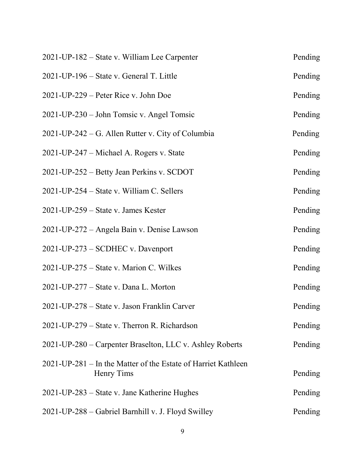| 2021-UP-182 – State v. William Lee Carpenter                                | Pending |
|-----------------------------------------------------------------------------|---------|
| 2021-UP-196 – State v. General T. Little                                    | Pending |
| $2021$ -UP-229 – Peter Rice v. John Doe                                     | Pending |
| 2021-UP-230 – John Tomsic v. Angel Tomsic                                   | Pending |
| 2021-UP-242 – G. Allen Rutter v. City of Columbia                           | Pending |
| 2021-UP-247 – Michael A. Rogers v. State                                    | Pending |
| 2021-UP-252 – Betty Jean Perkins v. SCDOT                                   | Pending |
| $2021$ -UP-254 – State v. William C. Sellers                                | Pending |
| $2021$ -UP-259 – State v. James Kester                                      | Pending |
| 2021-UP-272 – Angela Bain v. Denise Lawson                                  | Pending |
| 2021-UP-273 – SCDHEC v. Davenport                                           | Pending |
| $2021$ -UP-275 – State v. Marion C. Wilkes                                  | Pending |
| 2021-UP-277 – State v. Dana L. Morton                                       | Pending |
| 2021-UP-278 – State v. Jason Franklin Carver                                | Pending |
| 2021-UP-279 – State v. Therron R. Richardson                                | Pending |
| 2021-UP-280 – Carpenter Braselton, LLC v. Ashley Roberts                    | Pending |
| 2021-UP-281 – In the Matter of the Estate of Harriet Kathleen<br>Henry Tims | Pending |
| 2021-UP-283 – State v. Jane Katherine Hughes                                | Pending |
| 2021-UP-288 - Gabriel Barnhill v. J. Floyd Swilley                          | Pending |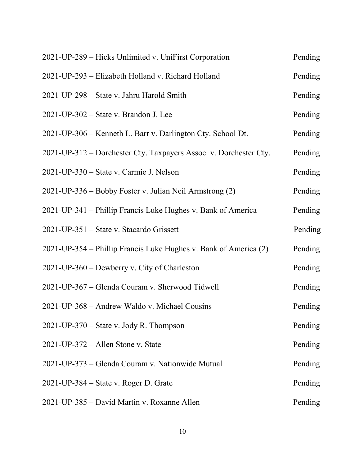| 2021-UP-289 – Hicks Unlimited v. UniFirst Corporation             | Pending |
|-------------------------------------------------------------------|---------|
| 2021-UP-293 - Elizabeth Holland v. Richard Holland                | Pending |
| 2021-UP-298 – State v. Jahru Harold Smith                         | Pending |
| $2021$ -UP-302 – State v. Brandon J. Lee                          | Pending |
| 2021-UP-306 – Kenneth L. Barr v. Darlington Cty. School Dt.       | Pending |
| 2021-UP-312 – Dorchester Cty. Taxpayers Assoc. v. Dorchester Cty. | Pending |
| 2021-UP-330 – State v. Carmie J. Nelson                           | Pending |
| 2021-UP-336 – Bobby Foster v. Julian Neil Armstrong (2)           | Pending |
| 2021-UP-341 – Phillip Francis Luke Hughes v. Bank of America      | Pending |
| 2021-UP-351 – State v. Stacardo Grissett                          | Pending |
| 2021-UP-354 – Phillip Francis Luke Hughes v. Bank of America (2)  | Pending |
| 2021-UP-360 – Dewberry v. City of Charleston                      | Pending |
| 2021-UP-367 – Glenda Couram v. Sherwood Tidwell                   | Pending |
| 2021-UP-368 – Andrew Waldo v. Michael Cousins                     | Pending |
| $2021$ -UP-370 – State v. Jody R. Thompson                        | Pending |
| $2021$ -UP-372 – Allen Stone v. State                             | Pending |
| 2021-UP-373 – Glenda Couram v. Nationwide Mutual                  | Pending |
| $2021$ -UP-384 – State v. Roger D. Grate                          | Pending |
| 2021-UP-385 – David Martin v. Roxanne Allen                       | Pending |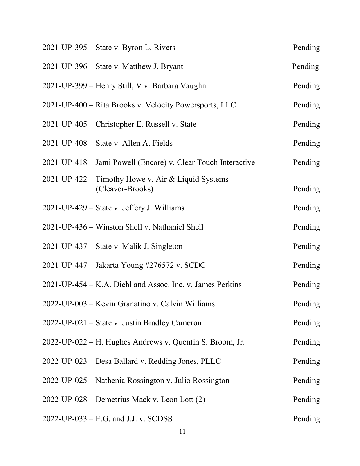| 2021-UP-395 – State v. Byron L. Rivers                                 | Pending |
|------------------------------------------------------------------------|---------|
| 2021-UP-396 – State v. Matthew J. Bryant                               | Pending |
| 2021-UP-399 - Henry Still, V v. Barbara Vaughn                         | Pending |
| 2021-UP-400 – Rita Brooks v. Velocity Powersports, LLC                 | Pending |
| 2021-UP-405 – Christopher E. Russell v. State                          | Pending |
| 2021-UP-408 – State v. Allen A. Fields                                 | Pending |
| 2021-UP-418 - Jami Powell (Encore) v. Clear Touch Interactive          | Pending |
| 2021-UP-422 – Timothy Howe v. Air & Liquid Systems<br>(Cleaver-Brooks) | Pending |
| 2021-UP-429 – State v. Jeffery J. Williams                             | Pending |
| 2021-UP-436 - Winston Shell v. Nathaniel Shell                         | Pending |
| 2021-UP-437 – State v. Malik J. Singleton                              | Pending |
| 2021-UP-447 – Jakarta Young #276572 v. SCDC                            | Pending |
| 2021-UP-454 – K.A. Diehl and Assoc. Inc. v. James Perkins              | Pending |
| 2022-UP-003 – Kevin Granatino v. Calvin Williams                       | Pending |
| 2022-UP-021 – State v. Justin Bradley Cameron                          | Pending |
| 2022-UP-022 – H. Hughes Andrews v. Quentin S. Broom, Jr.               | Pending |
| 2022-UP-023 - Desa Ballard v. Redding Jones, PLLC                      | Pending |
| 2022-UP-025 – Nathenia Rossington v. Julio Rossington                  | Pending |
| 2022-UP-028 – Demetrius Mack v. Leon Lott (2)                          | Pending |
| $2022$ -UP-033 – E.G. and J.J. v. SCDSS                                | Pending |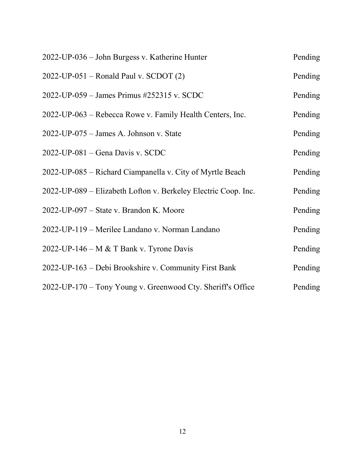| 2022-UP-036 - John Burgess v. Katherine Hunter                 | Pending |
|----------------------------------------------------------------|---------|
| $2022$ -UP-051 – Ronald Paul v. SCDOT (2)                      | Pending |
| 2022-UP-059 – James Primus #252315 v. SCDC                     | Pending |
| 2022-UP-063 – Rebecca Rowe v. Family Health Centers, Inc.      | Pending |
| $2022$ -UP-075 – James A. Johnson v. State                     | Pending |
| $2022$ -UP-081 – Gena Davis v. SCDC                            | Pending |
| 2022-UP-085 – Richard Ciampanella v. City of Myrtle Beach      | Pending |
| 2022-UP-089 – Elizabeth Lofton v. Berkeley Electric Coop. Inc. | Pending |
| 2022-UP-097 – State v. Brandon K. Moore                        | Pending |
| 2022-UP-119 – Merilee Landano v. Norman Landano                | Pending |
| 2022-UP-146 – M & T Bank v. Tyrone Davis                       | Pending |
| 2022-UP-163 – Debi Brookshire v. Community First Bank          | Pending |
| 2022-UP-170 – Tony Young v. Greenwood Cty. Sheriff's Office    | Pending |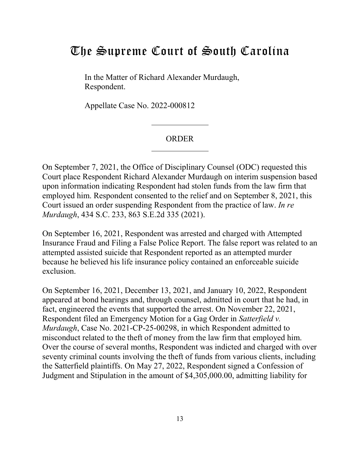# <span id="page-12-0"></span>The Supreme Court of South Carolina

In the Matter of Richard Alexander Murdaugh, Respondent.

Appellate Case No. 2022-000812

#### ORDER

On September 7, 2021, the Office of Disciplinary Counsel (ODC) requested this Court place Respondent Richard Alexander Murdaugh on interim suspension based upon information indicating Respondent had stolen funds from the law firm that employed him. Respondent consented to the relief and on September 8, 2021, this Court issued an order suspending Respondent from the practice of law. *In re Murdaugh*, 434 S.C. 233, 863 S.E.2d 335 (2021).

On September 16, 2021, Respondent was arrested and charged with Attempted Insurance Fraud and Filing a False Police Report. The false report was related to an attempted assisted suicide that Respondent reported as an attempted murder because he believed his life insurance policy contained an enforceable suicide exclusion.

On September 16, 2021, December 13, 2021, and January 10, 2022, Respondent appeared at bond hearings and, through counsel, admitted in court that he had, in fact, engineered the events that supported the arrest. On November 22, 2021, Respondent filed an Emergency Motion for a Gag Order in *Satterfield v. Murdaugh*, Case No. 2021-CP-25-00298, in which Respondent admitted to misconduct related to the theft of money from the law firm that employed him. Over the course of several months, Respondent was indicted and charged with over seventy criminal counts involving the theft of funds from various clients, including the Satterfield plaintiffs. On May 27, 2022, Respondent signed a Confession of Judgment and Stipulation in the amount of \$4,305,000.00, admitting liability for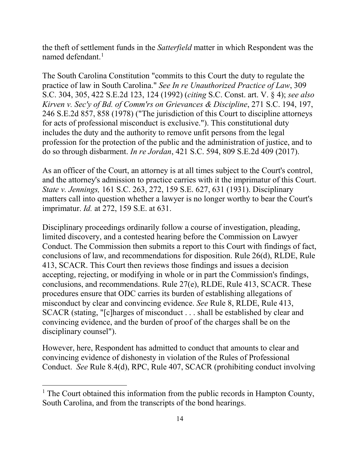the theft of settlement funds in the *Satterfield* matter in which Respondent was the named defendant. $<sup>1</sup>$  $<sup>1</sup>$  $<sup>1</sup>$ </sup>

The South Carolina Constitution "commits to this Court the duty to regulate the practice of law in South Carolina." *See In re Unauthorized Practice of Law*, 309 S.C. 304, 305, 422 S.E.2d 123, 124 (1992) (*citing* S.C. Const. art. V. § 4); *see also Kirven v. Sec'y of Bd. of Comm'rs on Grievances & Discipline*, 271 S.C. 194, 197, 246 S.E.2d 857, 858 (1978) ("The jurisdiction of this Court to discipline attorneys for acts of professional misconduct is exclusive."). This constitutional duty includes the duty and the authority to remove unfit persons from the legal profession for the protection of the public and the administration of justice, and to do so through disbarment. *In re Jordan*, 421 S.C. 594, 809 S.E.2d 409 (2017).

As an officer of the Court, an attorney is at all times subject to the Court's control, and the attorney's admission to practice carries with it the imprimatur of this Court. *State v. Jennings,* 161 S.C. 263, 272, 159 S.E. 627, 631 (1931). Disciplinary matters call into question whether a lawyer is no longer worthy to bear the Court's imprimatur. *Id.* at 272, 159 S.E. at 631.

Disciplinary proceedings ordinarily follow a course of investigation, pleading, limited discovery, and a contested hearing before the Commission on Lawyer Conduct. The Commission then submits a report to this Court with findings of fact, conclusions of law, and recommendations for disposition. Rule 26(d), RLDE, Rule 413, SCACR. This Court then reviews those findings and issues a decision accepting, rejecting, or modifying in whole or in part the Commission's findings, conclusions, and recommendations. Rule 27(e), RLDE, Rule 413, SCACR. These procedures ensure that ODC carries its burden of establishing allegations of misconduct by clear and convincing evidence. *See* Rule 8, RLDE, Rule 413, SCACR (stating, "[c]harges of misconduct . . . shall be established by clear and convincing evidence, and the burden of proof of the charges shall be on the disciplinary counsel").

However, here, Respondent has admitted to conduct that amounts to clear and convincing evidence of dishonesty in violation of the Rules of Professional Conduct. *See* Rule 8.4(d), RPC, Rule 407, SCACR (prohibiting conduct involving

<span id="page-13-0"></span><sup>&</sup>lt;sup>1</sup> The Court obtained this information from the public records in Hampton County, South Carolina, and from the transcripts of the bond hearings.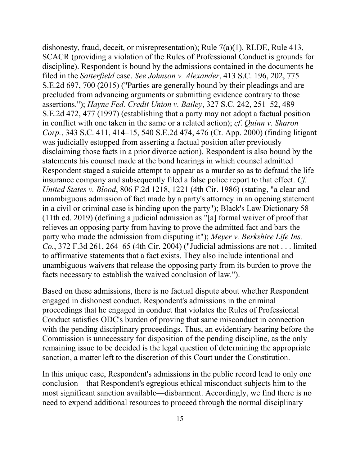dishonesty, fraud, deceit, or misrepresentation); Rule 7(a)(1), RLDE, Rule 413, SCACR (providing a violation of the Rules of Professional Conduct is grounds for discipline). Respondent is bound by the admissions contained in the documents he filed in the *Satterfield* case. *See Johnson v. Alexander*, 413 S.C. 196, 202, 775 S.E.2d 697, 700 (2015) ("Parties are generally bound by their pleadings and are precluded from advancing arguments or submitting evidence contrary to those assertions."); *Hayne Fed. Credit Union v. Bailey*, 327 S.C. 242, 251–52, 489 S.E.2d 472, 477 (1997) (establishing that a party may not adopt a factual position in conflict with one taken in the same or a related action); *cf*. *Quinn v. Sharon Corp.*, 343 S.C. 411, 414–15, 540 S.E.2d 474, 476 (Ct. App. 2000) (finding litigant was judicially estopped from asserting a factual position after previously disclaiming those facts in a prior divorce action). Respondent is also bound by the statements his counsel made at the bond hearings in which counsel admitted Respondent staged a suicide attempt to appear as a murder so as to defraud the life insurance company and subsequently filed a false police report to that effect. *Cf. United States v. Blood*, 806 F.2d 1218, 1221 (4th Cir. 1986) (stating, "a clear and unambiguous admission of fact made by a party's attorney in an opening statement in a civil or criminal case is binding upon the party"); Black's Law Dictionary 58 (11th ed. 2019) (defining a judicial admission as "[a] formal waiver of proof that relieves an opposing party from having to prove the admitted fact and bars the party who made the admission from disputing it"); *Meyer v. Berkshire Life Ins. Co.*, 372 F.3d 261, 264–65 (4th Cir. 2004) ("Judicial admissions are not . . . limited to affirmative statements that a fact exists. They also include intentional and unambiguous waivers that release the opposing party from its burden to prove the facts necessary to establish the waived conclusion of law.").

Based on these admissions, there is no factual dispute about whether Respondent engaged in dishonest conduct. Respondent's admissions in the criminal proceedings that he engaged in conduct that violates the Rules of Professional Conduct satisfies ODC's burden of proving that same misconduct in connection with the pending disciplinary proceedings. Thus, an evidentiary hearing before the Commission is unnecessary for disposition of the pending discipline, as the only remaining issue to be decided is the legal question of determining the appropriate sanction, a matter left to the discretion of this Court under the Constitution.

In this unique case, Respondent's admissions in the public record lead to only one conclusion—that Respondent's egregious ethical misconduct subjects him to the most significant sanction available—disbarment. Accordingly, we find there is no need to expend additional resources to proceed through the normal disciplinary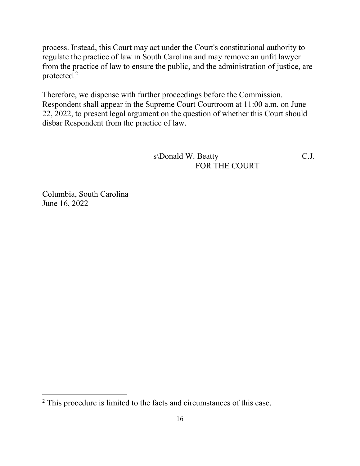process. Instead, this Court may act under the Court's constitutional authority to regulate the practice of law in South Carolina and may remove an unfit lawyer from the practice of law to ensure the public, and the administration of justice, are protected.<sup>[2](#page-15-0)</sup>

Therefore, we dispense with further proceedings before the Commission. Respondent shall appear in the Supreme Court Courtroom at 11:00 a.m. on June 22, 2022, to present legal argument on the question of whether this Court should disbar Respondent from the practice of law.

> s\Donald W. Beatty C.J. FOR THE COURT

Columbia, South Carolina June 16, 2022

<span id="page-15-0"></span> $2$  This procedure is limited to the facts and circumstances of this case.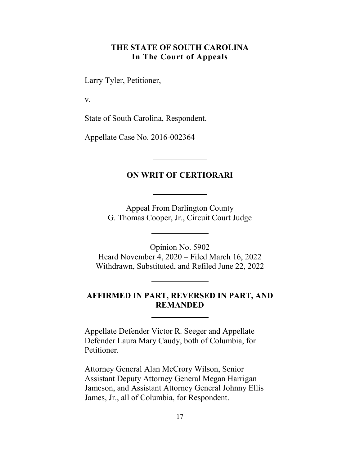# **THE STATE OF SOUTH CAROLINA In The Court of Appeals**

<span id="page-16-0"></span>Larry Tyler, Petitioner,

v.

State of South Carolina, Respondent.

Appellate Case No. 2016-002364

# **ON WRIT OF CERTIORARI**

Appeal From Darlington County G. Thomas Cooper, Jr., Circuit Court Judge

Opinion No. 5902 Heard November 4, 2020 – Filed March 16, 2022 Withdrawn, Substituted, and Refiled June 22, 2022

# **AFFIRMED IN PART, REVERSED IN PART, AND REMANDED**

Appellate Defender Victor R. Seeger and Appellate Defender Laura Mary Caudy, both of Columbia, for Petitioner.

Attorney General Alan McCrory Wilson, Senior Assistant Deputy Attorney General Megan Harrigan Jameson, and Assistant Attorney General Johnny Ellis James, Jr., all of Columbia, for Respondent.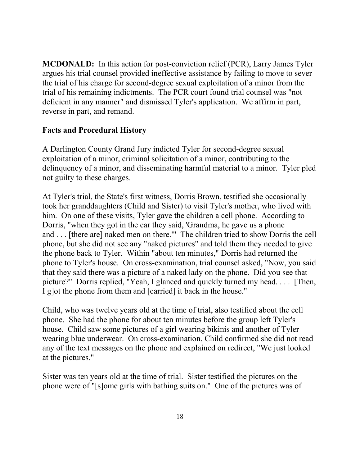**MCDONALD:** In this action for post-conviction relief (PCR), Larry James Tyler argues his trial counsel provided ineffective assistance by failing to move to sever the trial of his charge for second-degree sexual exploitation of a minor from the trial of his remaining indictments. The PCR court found trial counsel was "not deficient in any manner" and dismissed Tyler's application. We affirm in part, reverse in part, and remand.

### **Facts and Procedural History**

A Darlington County Grand Jury indicted Tyler for second-degree sexual exploitation of a minor, criminal solicitation of a minor, contributing to the delinquency of a minor, and disseminating harmful material to a minor. Tyler pled not guilty to these charges.

At Tyler's trial, the State's first witness, Dorris Brown, testified she occasionally took her granddaughters (Child and Sister) to visit Tyler's mother, who lived with him. On one of these visits, Tyler gave the children a cell phone. According to Dorris, "when they got in the car they said, 'Grandma, he gave us a phone and . . . [there are] naked men on there.'" The children tried to show Dorris the cell phone, but she did not see any "naked pictures" and told them they needed to give the phone back to Tyler. Within "about ten minutes," Dorris had returned the phone to Tyler's house. On cross-examination, trial counsel asked, "Now, you said that they said there was a picture of a naked lady on the phone. Did you see that picture?" Dorris replied, "Yeah, I glanced and quickly turned my head. . . . [Then, I g]ot the phone from them and [carried] it back in the house."

Child, who was twelve years old at the time of trial, also testified about the cell phone. She had the phone for about ten minutes before the group left Tyler's house. Child saw some pictures of a girl wearing bikinis and another of Tyler wearing blue underwear. On cross-examination, Child confirmed she did not read any of the text messages on the phone and explained on redirect, "We just looked at the pictures."

Sister was ten years old at the time of trial. Sister testified the pictures on the phone were of "[s]ome girls with bathing suits on." One of the pictures was of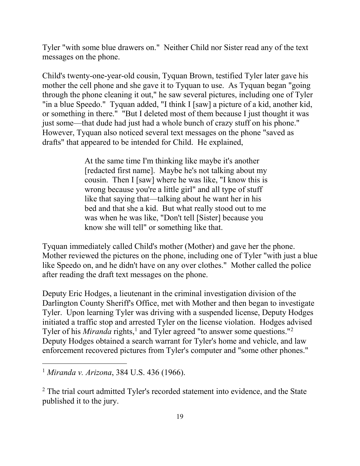Tyler "with some blue drawers on." Neither Child nor Sister read any of the text messages on the phone.

Child's twenty-one-year-old cousin, Tyquan Brown, testified Tyler later gave his mother the cell phone and she gave it to Tyquan to use. As Tyquan began "going through the phone cleaning it out," he saw several pictures, including one of Tyler "in a blue Speedo." Tyquan added, "I think I [saw] a picture of a kid, another kid, or something in there." "But I deleted most of them because I just thought it was just some—that dude had just had a whole bunch of crazy stuff on his phone." However, Tyquan also noticed several text messages on the phone "saved as drafts" that appeared to be intended for Child. He explained,

> At the same time I'm thinking like maybe it's another [redacted first name]. Maybe he's not talking about my cousin. Then I [saw] where he was like, "I know this is wrong because you're a little girl" and all type of stuff like that saying that—talking about he want her in his bed and that she a kid. But what really stood out to me was when he was like, "Don't tell [Sister] because you know she will tell" or something like that.

Tyquan immediately called Child's mother (Mother) and gave her the phone. Mother reviewed the pictures on the phone, including one of Tyler "with just a blue like Speedo on, and he didn't have on any over clothes." Mother called the police after reading the draft text messages on the phone.

Deputy Eric Hodges, a lieutenant in the criminal investigation division of the Darlington County Sheriff's Office, met with Mother and then began to investigate Tyler. Upon learning Tyler was driving with a suspended license, Deputy Hodges initiated a traffic stop and arrested Tyler on the license violation. Hodges advised Tyler of his *Miranda* rights,<sup>[1](#page-18-0)</sup> and Tyler agreed "to answer some questions."<sup>[2](#page-18-1)</sup> Deputy Hodges obtained a search warrant for Tyler's home and vehicle, and law enforcement recovered pictures from Tyler's computer and "some other phones."

<span id="page-18-0"></span><sup>1</sup> *Miranda v. Arizona*, 384 U.S. 436 (1966).

<span id="page-18-1"></span><sup>&</sup>lt;sup>2</sup> The trial court admitted Tyler's recorded statement into evidence, and the State published it to the jury.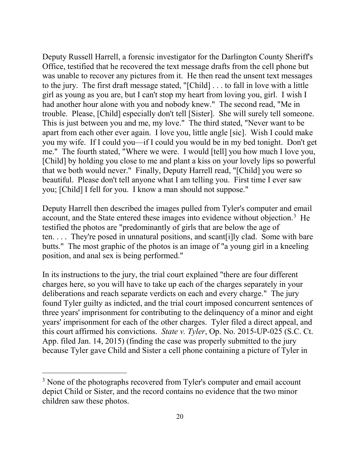Deputy Russell Harrell, a forensic investigator for the Darlington County Sheriff's Office, testified that he recovered the text message drafts from the cell phone but was unable to recover any pictures from it. He then read the unsent text messages to the jury. The first draft message stated, "[Child] . . . to fall in love with a little girl as young as you are, but I can't stop my heart from loving you, girl. I wish I had another hour alone with you and nobody knew." The second read, "Me in trouble. Please, [Child] especially don't tell [Sister]. She will surely tell someone. This is just between you and me, my love." The third stated, "Never want to be apart from each other ever again. I love you, little angle [sic]. Wish I could make you my wife. If I could you—if I could you would be in my bed tonight. Don't get me." The fourth stated, "Where we were. I would [tell] you how much I love you, [Child] by holding you close to me and plant a kiss on your lovely lips so powerful that we both would never." Finally, Deputy Harrell read, "[Child] you were so beautiful. Please don't tell anyone what I am telling you. First time I ever saw you; [Child] I fell for you. I know a man should not suppose."

Deputy Harrell then described the images pulled from Tyler's computer and email account, and the State entered these images into evidence without objection.<sup>[3](#page-19-0)</sup> He testified the photos are "predominantly of girls that are below the age of ten. . . . They're posed in unnatural positions, and scant[i]ly clad. Some with bare butts." The most graphic of the photos is an image of "a young girl in a kneeling position, and anal sex is being performed."

In its instructions to the jury, the trial court explained "there are four different charges here, so you will have to take up each of the charges separately in your deliberations and reach separate verdicts on each and every charge." The jury found Tyler guilty as indicted, and the trial court imposed concurrent sentences of three years' imprisonment for contributing to the delinquency of a minor and eight years' imprisonment for each of the other charges. Tyler filed a direct appeal, and this court affirmed his convictions. *State v. Tyler*, Op. No. 2015-UP-025 (S.C. Ct. App. filed Jan. 14, 2015) (finding the case was properly submitted to the jury because Tyler gave Child and Sister a cell phone containing a picture of Tyler in

<span id="page-19-0"></span><sup>&</sup>lt;sup>3</sup> None of the photographs recovered from Tyler's computer and email account depict Child or Sister, and the record contains no evidence that the two minor children saw these photos.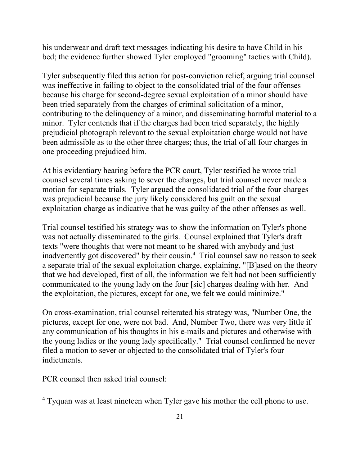his underwear and draft text messages indicating his desire to have Child in his bed; the evidence further showed Tyler employed "grooming" tactics with Child).

Tyler subsequently filed this action for post-conviction relief, arguing trial counsel was ineffective in failing to object to the consolidated trial of the four offenses because his charge for second-degree sexual exploitation of a minor should have been tried separately from the charges of criminal solicitation of a minor, contributing to the delinquency of a minor, and disseminating harmful material to a minor. Tyler contends that if the charges had been tried separately, the highly prejudicial photograph relevant to the sexual exploitation charge would not have been admissible as to the other three charges; thus, the trial of all four charges in one proceeding prejudiced him.

At his evidentiary hearing before the PCR court, Tyler testified he wrote trial counsel several times asking to sever the charges, but trial counsel never made a motion for separate trials. Tyler argued the consolidated trial of the four charges was prejudicial because the jury likely considered his guilt on the sexual exploitation charge as indicative that he was guilty of the other offenses as well.

Trial counsel testified his strategy was to show the information on Tyler's phone was not actually disseminated to the girls. Counsel explained that Tyler's draft texts "were thoughts that were not meant to be shared with anybody and just inadvertently got discovered" by their cousin.[4](#page-20-0) Trial counsel saw no reason to seek a separate trial of the sexual exploitation charge, explaining, "[B]ased on the theory that we had developed, first of all, the information we felt had not been sufficiently communicated to the young lady on the four [sic] charges dealing with her. And the exploitation, the pictures, except for one, we felt we could minimize."

On cross-examination, trial counsel reiterated his strategy was, "Number One, the pictures, except for one, were not bad. And, Number Two, there was very little if any communication of his thoughts in his e-mails and pictures and otherwise with the young ladies or the young lady specifically." Trial counsel confirmed he never filed a motion to sever or objected to the consolidated trial of Tyler's four indictments.

PCR counsel then asked trial counsel:

<span id="page-20-0"></span><sup>&</sup>lt;sup>4</sup> Tyquan was at least nineteen when Tyler gave his mother the cell phone to use.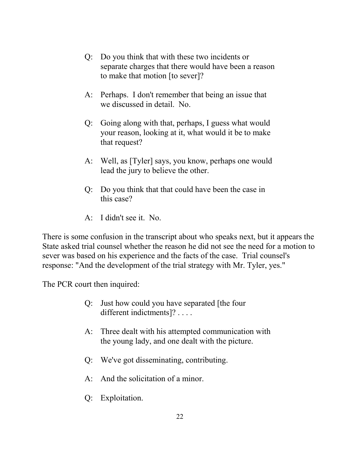- Q: Do you think that with these two incidents or separate charges that there would have been a reason to make that motion [to sever]?
- A: Perhaps. I don't remember that being an issue that we discussed in detail. No.
- Q: Going along with that, perhaps, I guess what would your reason, looking at it, what would it be to make that request?
- A: Well, as [Tyler] says, you know, perhaps one would lead the jury to believe the other.
- Q: Do you think that that could have been the case in this case?
- A: I didn't see it. No.

There is some confusion in the transcript about who speaks next, but it appears the State asked trial counsel whether the reason he did not see the need for a motion to sever was based on his experience and the facts of the case. Trial counsel's response: "And the development of the trial strategy with Mr. Tyler, yes."

The PCR court then inquired:

- Q: Just how could you have separated [the four different indictments]? . . . .
- A: Three dealt with his attempted communication with the young lady, and one dealt with the picture.
- Q: We've got disseminating, contributing.
- A: And the solicitation of a minor.
- Q: Exploitation.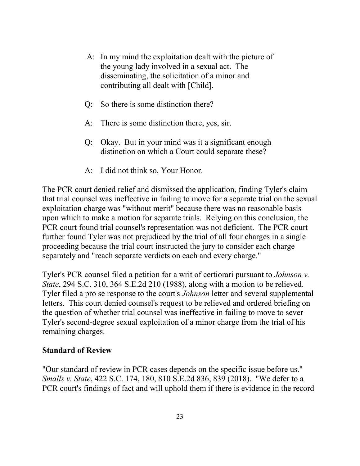- A: In my mind the exploitation dealt with the picture of the young lady involved in a sexual act. The disseminating, the solicitation of a minor and contributing all dealt with [Child].
- Q: So there is some distinction there?
- A: There is some distinction there, yes, sir.
- Q: Okay. But in your mind was it a significant enough distinction on which a Court could separate these?
- A: I did not think so, Your Honor.

The PCR court denied relief and dismissed the application, finding Tyler's claim that trial counsel was ineffective in failing to move for a separate trial on the sexual exploitation charge was "without merit" because there was no reasonable basis upon which to make a motion for separate trials. Relying on this conclusion, the PCR court found trial counsel's representation was not deficient. The PCR court further found Tyler was not prejudiced by the trial of all four charges in a single proceeding because the trial court instructed the jury to consider each charge separately and "reach separate verdicts on each and every charge."

Tyler's PCR counsel filed a petition for a writ of certiorari pursuant to *Johnson v. State*, 294 S.C. 310, 364 S.E.2d 210 (1988), along with a motion to be relieved. Tyler filed a pro se response to the court's *Johnson* letter and several supplemental letters. This court denied counsel's request to be relieved and ordered briefing on the question of whether trial counsel was ineffective in failing to move to sever Tyler's second-degree sexual exploitation of a minor charge from the trial of his remaining charges.

#### **Standard of Review**

"Our standard of review in PCR cases depends on the specific issue before us." *Smalls v. State*, 422 S.C. 174, 180, 810 S.E.2d 836, 839 (2018). "We defer to a PCR court's findings of fact and will uphold them if there is evidence in the record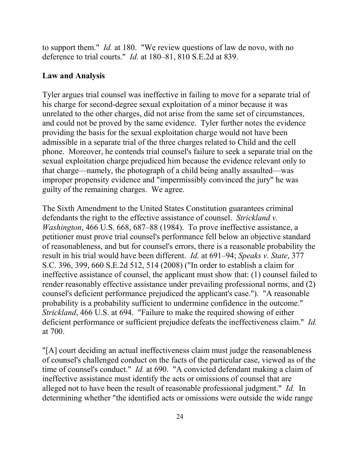to support them." *Id.* at 180. "We review questions of law de novo, with no deference to trial courts." *Id.* at 180–81, 810 S.E.2d at 839.

#### **Law and Analysis**

Tyler argues trial counsel was ineffective in failing to move for a separate trial of his charge for second-degree sexual exploitation of a minor because it was unrelated to the other charges, did not arise from the same set of circumstances, and could not be proved by the same evidence. Tyler further notes the evidence providing the basis for the sexual exploitation charge would not have been admissible in a separate trial of the three charges related to Child and the cell phone. Moreover, he contends trial counsel's failure to seek a separate trial on the sexual exploitation charge prejudiced him because the evidence relevant only to that charge—namely, the photograph of a child being anally assaulted—was improper propensity evidence and "impermissibly convinced the jury" he was guilty of the remaining charges. We agree.

The Sixth Amendment to the United States Constitution guarantees criminal defendants the right to the effective assistance of counsel. *Strickland v. Washington*, 466 U.S. 668, 687–88 (1984). To prove ineffective assistance, a petitioner must prove trial counsel's performance fell below an objective standard of reasonableness, and but for counsel's errors, there is a reasonable probability the result in his trial would have been different. *Id.* at 691–94; *Speaks v. State*, 377 S.C. 396, 399, 660 S.E.2d 512, 514 (2008) ("In order to establish a claim for ineffective assistance of counsel, the applicant must show that: (1) counsel failed to render reasonably effective assistance under prevailing professional norms, and (2) counsel's deficient performance prejudiced the applicant's case."). "A reasonable probability is a probability sufficient to undermine confidence in the outcome." *Strickland*, 466 U.S. at 694. "Failure to make the required showing of either deficient performance or sufficient prejudice defeats the ineffectiveness claim." *Id.* at 700.

"[A] court deciding an actual ineffectiveness claim must judge the reasonableness of counsel's challenged conduct on the facts of the particular case, viewed as of the time of counsel's conduct." *Id.* at 690. "A convicted defendant making a claim of ineffective assistance must identify the acts or omissions of counsel that are alleged not to have been the result of reasonable professional judgment." *Id.* In determining whether "the identified acts or omissions were outside the wide range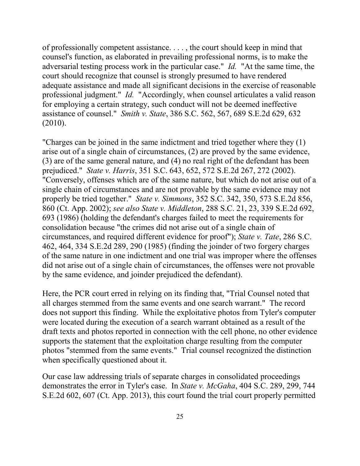of professionally competent assistance. . . . , the court should keep in mind that counsel's function, as elaborated in prevailing professional norms, is to make the adversarial testing process work in the particular case." *Id.* "At the same time, the court should recognize that counsel is strongly presumed to have rendered adequate assistance and made all significant decisions in the exercise of reasonable professional judgment." *Id.* "Accordingly, when counsel articulates a valid reason for employing a certain strategy, such conduct will not be deemed ineffective assistance of counsel." *Smith v. State*, 386 S.C. 562, 567, 689 S.E.2d 629, 632 (2010).

"Charges can be joined in the same indictment and tried together where they (1) arise out of a single chain of circumstances, (2) are proved by the same evidence, (3) are of the same general nature, and (4) no real right of the defendant has been prejudiced." *State v. Harris*, 351 S.C. 643, 652, 572 S.E.2d 267, 272 (2002). "Conversely, offenses which are of the same nature, but which do not arise out of a single chain of circumstances and are not provable by the same evidence may not properly be tried together." *State v. Simmons*, 352 S.C. 342, 350, 573 S.E.2d 856, 860 (Ct. App. 2002); *see also State v. Middleton*, 288 S.C. 21, 23, 339 S.E.2d 692, 693 (1986) (holding the defendant's charges failed to meet the requirements for consolidation because "the crimes did not arise out of a single chain of circumstances, and required different evidence for proof"); *State v. Tate*, 286 S.C. 462, 464, 334 S.E.2d 289, 290 (1985) (finding the joinder of two forgery charges of the same nature in one indictment and one trial was improper where the offenses did not arise out of a single chain of circumstances, the offenses were not provable by the same evidence, and joinder prejudiced the defendant).

Here, the PCR court erred in relying on its finding that, "Trial Counsel noted that all charges stemmed from the same events and one search warrant." The record does not support this finding. While the exploitative photos from Tyler's computer were located during the execution of a search warrant obtained as a result of the draft texts and photos reported in connection with the cell phone, no other evidence supports the statement that the exploitation charge resulting from the computer photos "stemmed from the same events." Trial counsel recognized the distinction when specifically questioned about it.

Our case law addressing trials of separate charges in consolidated proceedings demonstrates the error in Tyler's case. In *State v. McGaha*, 404 S.C. 289, 299, 744 S.E.2d 602, 607 (Ct. App. 2013), this court found the trial court properly permitted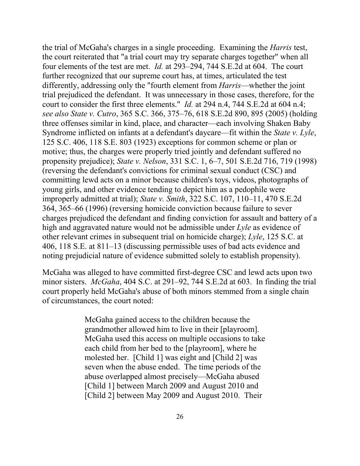the trial of McGaha's charges in a single proceeding. Examining the *Harris* test, the court reiterated that "a trial court may try separate charges together" when all four elements of the test are met. *Id.* at 293–294, 744 S.E.2d at 604. The court further recognized that our supreme court has, at times, articulated the test differently, addressing only the "fourth element from *Harris*—whether the joint trial prejudiced the defendant. It was unnecessary in those cases, therefore, for the court to consider the first three elements." *Id.* at 294 n.4, 744 S.E.2d at 604 n.4; *see also State v. Cutro*, 365 S.C. 366, 375–76, 618 S.E.2d 890, 895 (2005) (holding three offenses similar in kind, place, and character—each involving Shaken Baby Syndrome inflicted on infants at a defendant's daycare—fit within the *State v. Lyle*, 125 S.C. 406, 118 S.E. 803 (1923) exceptions for common scheme or plan or motive; thus, the charges were properly tried jointly and defendant suffered no propensity prejudice); *State v. Nelson*, 331 S.C. 1, 6–7, 501 S.E.2d 716, 719 (1998) (reversing the defendant's convictions for criminal sexual conduct (CSC) and committing lewd acts on a minor because children's toys, videos, photographs of young girls, and other evidence tending to depict him as a pedophile were improperly admitted at trial); *State v. Smith*, 322 S.C. 107, 110–11, 470 S.E.2d 364, 365–66 (1996) (reversing homicide conviction because failure to sever charges prejudiced the defendant and finding conviction for assault and battery of a high and aggravated nature would not be admissible under *Lyle* as evidence of other relevant crimes in subsequent trial on homicide charge); *Lyle*, 125 S.C. at 406, 118 S.E. at 811–13 (discussing permissible uses of bad acts evidence and noting prejudicial nature of evidence submitted solely to establish propensity).

McGaha was alleged to have committed first-degree CSC and lewd acts upon two minor sisters. *McGaha*, 404 S.C. at 291–92, 744 S.E.2d at 603. In finding the trial court properly held McGaha's abuse of both minors stemmed from a single chain of circumstances, the court noted:

> McGaha gained access to the children because the grandmother allowed him to live in their [playroom]. McGaha used this access on multiple occasions to take each child from her bed to the [playroom], where he molested her. [Child 1] was eight and [Child 2] was seven when the abuse ended. The time periods of the abuse overlapped almost precisely—McGaha abused [Child 1] between March 2009 and August 2010 and [Child 2] between May 2009 and August 2010. Their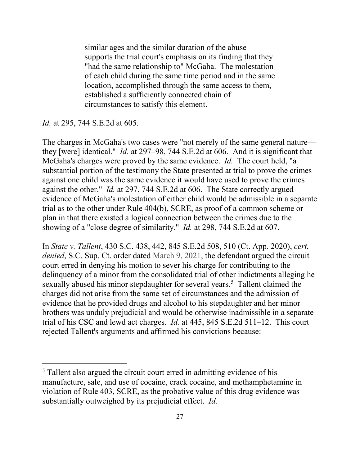similar ages and the similar duration of the abuse supports the trial court's emphasis on its finding that they "had the same relationship to" McGaha. The molestation of each child during the same time period and in the same location, accomplished through the same access to them, established a sufficiently connected chain of circumstances to satisfy this element.

#### *Id.* at 295, 744 S.E.2d at 605.

 $\overline{a}$ 

The charges in McGaha's two cases were "not merely of the same general nature they [were] identical." *Id.* at 297–98, 744 S.E.2d at 606. And it is significant that McGaha's charges were proved by the same evidence. *Id.* The court held, "a substantial portion of the testimony the State presented at trial to prove the crimes against one child was the same evidence it would have used to prove the crimes against the other." *Id.* at 297, 744 S.E.2d at 606. The State correctly argued evidence of McGaha's molestation of either child would be admissible in a separate trial as to the other under Rule 404(b), SCRE, as proof of a common scheme or plan in that there existed a logical connection between the crimes due to the showing of a "close degree of similarity." *Id.* at 298, 744 S.E.2d at 607.

In *State v. Tallent*, 430 S.C. 438, 442, 845 S.E.2d 508, 510 (Ct. App. 2020), *cert. denied*, S.C. Sup. Ct. order dated March 9, 2021, the defendant argued the circuit court erred in denying his motion to sever his charge for contributing to the delinquency of a minor from the consolidated trial of other indictments alleging he sexually abused his minor stepdaughter for several years.<sup>[5](#page-26-0)</sup> Tallent claimed the charges did not arise from the same set of circumstances and the admission of evidence that he provided drugs and alcohol to his stepdaughter and her minor brothers was unduly prejudicial and would be otherwise inadmissible in a separate trial of his CSC and lewd act charges. *Id.* at 445, 845 S.E.2d 511–12. This court rejected Tallent's arguments and affirmed his convictions because:

<span id="page-26-0"></span><sup>&</sup>lt;sup>5</sup> Tallent also argued the circuit court erred in admitting evidence of his manufacture, sale, and use of cocaine, crack cocaine, and methamphetamine in violation of Rule 403, SCRE, as the probative value of this drug evidence was substantially outweighed by its prejudicial effect. *Id.*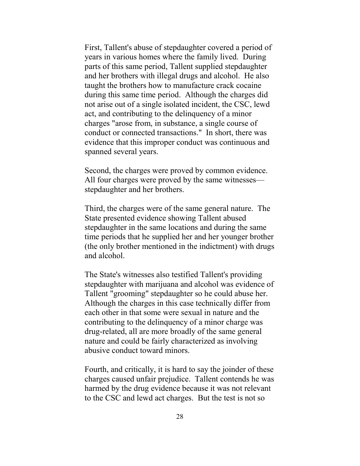First, Tallent's abuse of stepdaughter covered a period of years in various homes where the family lived. During parts of this same period, Tallent supplied stepdaughter and her brothers with illegal drugs and alcohol. He also taught the brothers how to manufacture crack cocaine during this same time period. Although the charges did not arise out of a single isolated incident, the CSC, lewd act, and contributing to the delinquency of a minor charges "arose from, in substance, a single course of conduct or connected transactions." In short, there was evidence that this improper conduct was continuous and spanned several years.

Second, the charges were proved by common evidence. All four charges were proved by the same witnesses stepdaughter and her brothers.

Third, the charges were of the same general nature. The State presented evidence showing Tallent abused stepdaughter in the same locations and during the same time periods that he supplied her and her younger brother (the only brother mentioned in the indictment) with drugs and alcohol.

The State's witnesses also testified Tallent's providing stepdaughter with marijuana and alcohol was evidence of Tallent "grooming" stepdaughter so he could abuse her. Although the charges in this case technically differ from each other in that some were sexual in nature and the contributing to the delinquency of a minor charge was drug-related, all are more broadly of the same general nature and could be fairly characterized as involving abusive conduct toward minors.

Fourth, and critically, it is hard to say the joinder of these charges caused unfair prejudice. Tallent contends he was harmed by the drug evidence because it was not relevant to the CSC and lewd act charges. But the test is not so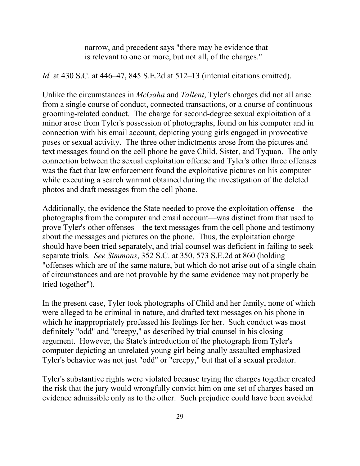narrow, and precedent says "there may be evidence that is relevant to one or more, but not all, of the charges."

*Id.* at 430 S.C. at 446–47, 845 S.E.2d at 512–13 (internal citations omitted).

Unlike the circumstances in *McGaha* and *Tallent*, Tyler's charges did not all arise from a single course of conduct, connected transactions, or a course of continuous grooming-related conduct. The charge for second-degree sexual exploitation of a minor arose from Tyler's possession of photographs, found on his computer and in connection with his email account, depicting young girls engaged in provocative poses or sexual activity. The three other indictments arose from the pictures and text messages found on the cell phone he gave Child, Sister, and Tyquan. The only connection between the sexual exploitation offense and Tyler's other three offenses was the fact that law enforcement found the exploitative pictures on his computer while executing a search warrant obtained during the investigation of the deleted photos and draft messages from the cell phone.

Additionally, the evidence the State needed to prove the exploitation offense—the photographs from the computer and email account—was distinct from that used to prove Tyler's other offenses—the text messages from the cell phone and testimony about the messages and pictures on the phone. Thus, the exploitation charge should have been tried separately, and trial counsel was deficient in failing to seek separate trials. *See Simmons*, 352 S.C. at 350, 573 S.E.2d at 860 (holding "offenses which are of the same nature, but which do not arise out of a single chain of circumstances and are not provable by the same evidence may not properly be tried together").

In the present case, Tyler took photographs of Child and her family, none of which were alleged to be criminal in nature, and drafted text messages on his phone in which he inappropriately professed his feelings for her. Such conduct was most definitely "odd" and "creepy," as described by trial counsel in his closing argument. However, the State's introduction of the photograph from Tyler's computer depicting an unrelated young girl being anally assaulted emphasized Tyler's behavior was not just "odd" or "creepy," but that of a sexual predator.

Tyler's substantive rights were violated because trying the charges together created the risk that the jury would wrongfully convict him on one set of charges based on evidence admissible only as to the other. Such prejudice could have been avoided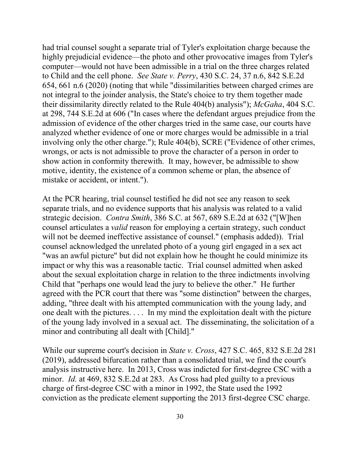had trial counsel sought a separate trial of Tyler's exploitation charge because the highly prejudicial evidence—the photo and other provocative images from Tyler's computer—would not have been admissible in a trial on the three charges related to Child and the cell phone. *See State v. Perry*, 430 S.C. 24, 37 n.6, 842 S.E.2d 654, 661 n.6 (2020) (noting that while "dissimilarities between charged crimes are not integral to the joinder analysis, the State's choice to try them together made their dissimilarity directly related to the Rule 404(b) analysis"); *McGaha*, 404 S.C. at 298, 744 S.E.2d at 606 ("In cases where the defendant argues prejudice from the admission of evidence of the other charges tried in the same case, our courts have analyzed whether evidence of one or more charges would be admissible in a trial involving only the other charge."); Rule 404(b), SCRE ("Evidence of other crimes, wrongs, or acts is not admissible to prove the character of a person in order to show action in conformity therewith. It may, however, be admissible to show motive, identity, the existence of a common scheme or plan, the absence of mistake or accident, or intent.").

At the PCR hearing, trial counsel testified he did not see any reason to seek separate trials, and no evidence supports that his analysis was related to a valid strategic decision. *Contra Smith*, 386 S.C. at 567, 689 S.E.2d at 632 ("[W]hen counsel articulates a *valid* reason for employing a certain strategy, such conduct will not be deemed ineffective assistance of counsel." (emphasis added)). Trial counsel acknowledged the unrelated photo of a young girl engaged in a sex act "was an awful picture" but did not explain how he thought he could minimize its impact or why this was a reasonable tactic. Trial counsel admitted when asked about the sexual exploitation charge in relation to the three indictments involving Child that "perhaps one would lead the jury to believe the other." He further agreed with the PCR court that there was "some distinction" between the charges, adding, "three dealt with his attempted communication with the young lady, and one dealt with the pictures. . . . In my mind the exploitation dealt with the picture of the young lady involved in a sexual act. The disseminating, the solicitation of a minor and contributing all dealt with [Child]."

While our supreme court's decision in *State v. Cross*, 427 S.C. 465, 832 S.E.2d 281 (2019), addressed bifurcation rather than a consolidated trial, we find the court's analysis instructive here. In 2013, Cross was indicted for first-degree CSC with a minor. *Id.* at 469, 832 S.E.2d at 283. As Cross had pled guilty to a previous charge of first-degree CSC with a minor in 1992, the State used the 1992 conviction as the predicate element supporting the 2013 first-degree CSC charge.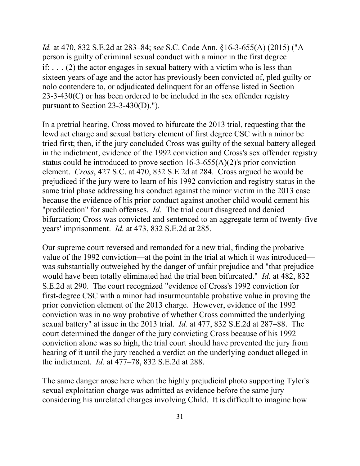*Id.* at 470, 832 S.E.2d at 283–84; s*ee* S.C. Code Ann. §16-3-655(A) (2015) ("A person is guilty of criminal sexual conduct with a minor in the first degree if:  $\dots$  (2) the actor engages in sexual battery with a victim who is less than sixteen years of age and the actor has previously been convicted of, pled guilty or nolo contendere to, or adjudicated delinquent for an offense listed in Section 23-3-430(C) or has been ordered to be included in the sex offender registry pursuant to Section 23-3-430(D).").

In a pretrial hearing, Cross moved to bifurcate the 2013 trial, requesting that the lewd act charge and sexual battery element of first degree CSC with a minor be tried first; then, if the jury concluded Cross was guilty of the sexual battery alleged in the indictment, evidence of the 1992 conviction and Cross's sex offender registry status could be introduced to prove section 16-3-655(A)(2)'s prior conviction element. *Cross*, 427 S.C. at 470, 832 S.E.2d at 284. Cross argued he would be prejudiced if the jury were to learn of his 1992 conviction and registry status in the same trial phase addressing his conduct against the minor victim in the 2013 case because the evidence of his prior conduct against another child would cement his "predilection" for such offenses. *Id.* The trial court disagreed and denied bifurcation; Cross was convicted and sentenced to an aggregate term of twenty-five years' imprisonment. *Id.* at 473, 832 S.E.2d at 285.

Our supreme court reversed and remanded for a new trial, finding the probative value of the 1992 conviction—at the point in the trial at which it was introduced was substantially outweighed by the danger of unfair prejudice and "that prejudice would have been totally eliminated had the trial been bifurcated." *Id.* at 482, 832 S.E.2d at 290. The court recognized "evidence of Cross's 1992 conviction for first-degree CSC with a minor had insurmountable probative value in proving the prior conviction element of the 2013 charge. However, evidence of the 1992 conviction was in no way probative of whether Cross committed the underlying sexual battery" at issue in the 2013 trial. *Id.* at 477, 832 S.E.2d at 287–88. The court determined the danger of the jury convicting Cross because of his 1992 conviction alone was so high, the trial court should have prevented the jury from hearing of it until the jury reached a verdict on the underlying conduct alleged in the indictment. *Id.* at 477–78, 832 S.E.2d at 288.

The same danger arose here when the highly prejudicial photo supporting Tyler's sexual exploitation charge was admitted as evidence before the same jury considering his unrelated charges involving Child. It is difficult to imagine how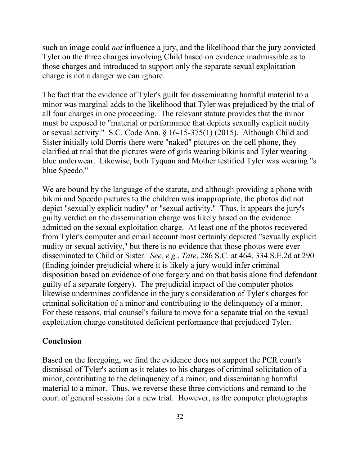such an image could *not* influence a jury, and the likelihood that the jury convicted Tyler on the three charges involving Child based on evidence inadmissible as to those charges and introduced to support only the separate sexual exploitation charge is not a danger we can ignore.

The fact that the evidence of Tyler's guilt for disseminating harmful material to a minor was marginal adds to the likelihood that Tyler was prejudiced by the trial of all four charges in one proceeding. The relevant statute provides that the minor must be exposed to "material or performance that depicts sexually explicit nudity or sexual activity." S.C. Code Ann. § 16-15-375(1) (2015). Although Child and Sister initially told Dorris there were "naked" pictures on the cell phone, they clarified at trial that the pictures were of girls wearing bikinis and Tyler wearing blue underwear. Likewise, both Tyquan and Mother testified Tyler was wearing "a blue Speedo."

We are bound by the language of the statute, and although providing a phone with bikini and Speedo pictures to the children was inappropriate, the photos did not depict "sexually explicit nudity" or "sexual activity." Thus, it appears the jury's guilty verdict on the dissemination charge was likely based on the evidence admitted on the sexual exploitation charge. At least one of the photos recovered from Tyler's computer and email account most certainly depicted "sexually explicit nudity or sexual activity," but there is no evidence that those photos were ever disseminated to Child or Sister. *See, e.g.*, *Tate*, 286 S.C. at 464, 334 S.E.2d at 290 (finding joinder prejudicial where it is likely a jury would infer criminal disposition based on evidence of one forgery and on that basis alone find defendant guilty of a separate forgery). The prejudicial impact of the computer photos likewise undermines confidence in the jury's consideration of Tyler's charges for criminal solicitation of a minor and contributing to the delinquency of a minor. For these reasons, trial counsel's failure to move for a separate trial on the sexual exploitation charge constituted deficient performance that prejudiced Tyler.

#### **Conclusion**

Based on the foregoing, we find the evidence does not support the PCR court's dismissal of Tyler's action as it relates to his charges of criminal solicitation of a minor, contributing to the delinquency of a minor, and disseminating harmful material to a minor. Thus, we reverse these three convictions and remand to the court of general sessions for a new trial. However, as the computer photographs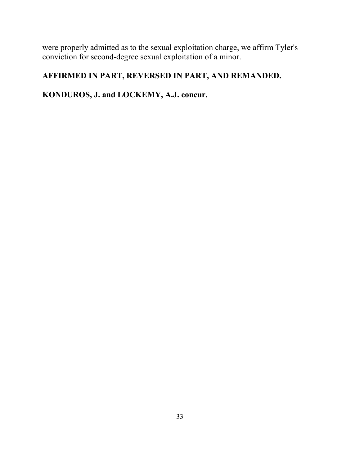were properly admitted as to the sexual exploitation charge, we affirm Tyler's conviction for second-degree sexual exploitation of a minor.

# **AFFIRMED IN PART, REVERSED IN PART, AND REMANDED.**

# **KONDUROS, J. and LOCKEMY, A.J. concur.**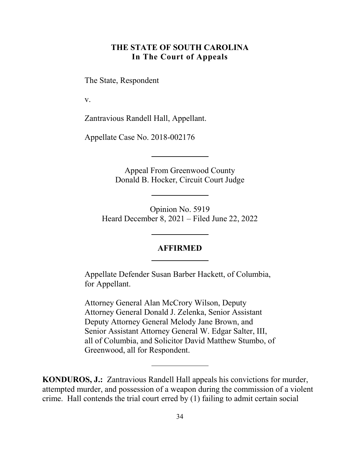### **THE STATE OF SOUTH CAROLINA In The Court of Appeals**

<span id="page-33-0"></span>The State, Respondent

v.

Zantravious Randell Hall, Appellant.

Appellate Case No. 2018-002176

Appeal From Greenwood County Donald B. Hocker, Circuit Court Judge

Opinion No. 5919 Heard December 8, 2021 – Filed June 22, 2022

#### **AFFIRMED**

Appellate Defender Susan Barber Hackett, of Columbia, for Appellant.

Attorney General Alan McCrory Wilson, Deputy Attorney General Donald J. Zelenka, Senior Assistant Deputy Attorney General Melody Jane Brown, and Senior Assistant Attorney General W. Edgar Salter, III, all of Columbia, and Solicitor David Matthew Stumbo, of Greenwood, all for Respondent.

**KONDUROS, J.:** Zantravious Randell Hall appeals his convictions for murder, attempted murder, and possession of a weapon during the commission of a violent crime. Hall contends the trial court erred by (1) failing to admit certain social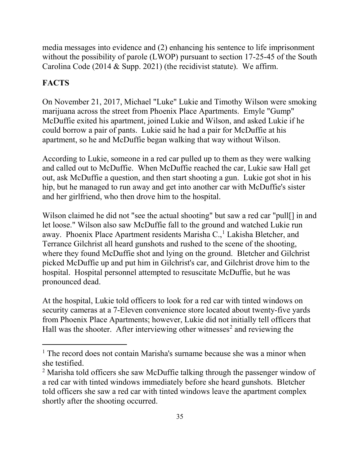media messages into evidence and (2) enhancing his sentence to life imprisonment without the possibility of parole (LWOP) pursuant to section 17-25-45 of the South Carolina Code (2014 & Supp. 2021) (the recidivist statute). We affirm.

# **FACTS**

 $\overline{a}$ 

On November 21, 2017, Michael "Luke" Lukie and Timothy Wilson were smoking marijuana across the street from Phoenix Place Apartments. Emyle "Gump" McDuffie exited his apartment, joined Lukie and Wilson, and asked Lukie if he could borrow a pair of pants. Lukie said he had a pair for McDuffie at his apartment, so he and McDuffie began walking that way without Wilson.

According to Lukie, someone in a red car pulled up to them as they were walking and called out to McDuffie. When McDuffie reached the car, Lukie saw Hall get out, ask McDuffie a question, and then start shooting a gun. Lukie got shot in his hip, but he managed to run away and get into another car with McDuffie's sister and her girlfriend, who then drove him to the hospital.

Wilson claimed he did not "see the actual shooting" but saw a red car "pull[] in and let loose." Wilson also saw McDuffie fall to the ground and watched Lukie run away. Phoenix Place Apartment residents Marisha C., [1](#page-34-0) Lakisha Bletcher, and Terrance Gilchrist all heard gunshots and rushed to the scene of the shooting, where they found McDuffie shot and lying on the ground. Bletcher and Gilchrist picked McDuffie up and put him in Gilchrist's car, and Gilchrist drove him to the hospital. Hospital personnel attempted to resuscitate McDuffie, but he was pronounced dead.

At the hospital, Lukie told officers to look for a red car with tinted windows on security cameras at a 7-Eleven convenience store located about twenty-five yards from Phoenix Place Apartments; however, Lukie did not initially tell officers that Hall was the shooter. After interviewing other witnesses<sup>[2](#page-34-1)</sup> and reviewing the

<span id="page-34-0"></span><sup>&</sup>lt;sup>1</sup> The record does not contain Marisha's surname because she was a minor when she testified.

<span id="page-34-1"></span><sup>&</sup>lt;sup>2</sup> Marisha told officers she saw McDuffie talking through the passenger window of a red car with tinted windows immediately before she heard gunshots. Bletcher told officers she saw a red car with tinted windows leave the apartment complex shortly after the shooting occurred.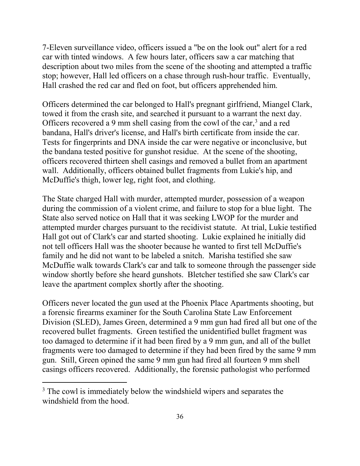7-Eleven surveillance video, officers issued a "be on the look out" alert for a red car with tinted windows. A few hours later, officers saw a car matching that description about two miles from the scene of the shooting and attempted a traffic stop; however, Hall led officers on a chase through rush-hour traffic. Eventually, Hall crashed the red car and fled on foot, but officers apprehended him.

Officers determined the car belonged to Hall's pregnant girlfriend, Miangel Clark, towed it from the crash site, and searched it pursuant to a warrant the next day. Officers recovered a 9 mm shell casing from the cowl of the car, [3](#page-35-0) and a red bandana, Hall's driver's license, and Hall's birth certificate from inside the car. Tests for fingerprints and DNA inside the car were negative or inconclusive, but the bandana tested positive for gunshot residue. At the scene of the shooting, officers recovered thirteen shell casings and removed a bullet from an apartment wall. Additionally, officers obtained bullet fragments from Lukie's hip, and McDuffie's thigh, lower leg, right foot, and clothing.

The State charged Hall with murder, attempted murder, possession of a weapon during the commission of a violent crime, and failure to stop for a blue light. The State also served notice on Hall that it was seeking LWOP for the murder and attempted murder charges pursuant to the recidivist statute. At trial, Lukie testified Hall got out of Clark's car and started shooting. Lukie explained he initially did not tell officers Hall was the shooter because he wanted to first tell McDuffie's family and he did not want to be labeled a snitch. Marisha testified she saw McDuffie walk towards Clark's car and talk to someone through the passenger side window shortly before she heard gunshots. Bletcher testified she saw Clark's car leave the apartment complex shortly after the shooting.

Officers never located the gun used at the Phoenix Place Apartments shooting, but a forensic firearms examiner for the South Carolina State Law Enforcement Division (SLED), James Green, determined a 9 mm gun had fired all but one of the recovered bullet fragments. Green testified the unidentified bullet fragment was too damaged to determine if it had been fired by a 9 mm gun, and all of the bullet fragments were too damaged to determine if they had been fired by the same 9 mm gun. Still, Green opined the same 9 mm gun had fired all fourteen 9 mm shell casings officers recovered. Additionally, the forensic pathologist who performed

<span id="page-35-0"></span><sup>&</sup>lt;sup>3</sup> The cowl is immediately below the windshield wipers and separates the windshield from the hood.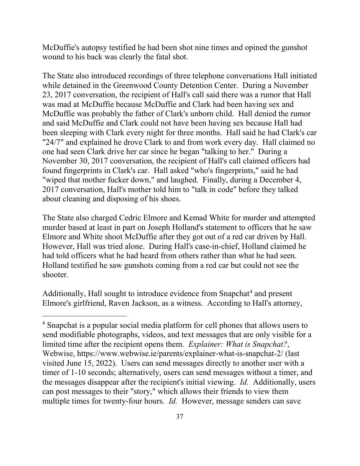McDuffie's autopsy testified he had been shot nine times and opined the gunshot wound to his back was clearly the fatal shot.

The State also introduced recordings of three telephone conversations Hall initiated while detained in the Greenwood County Detention Center. During a November 23, 2017 conversation, the recipient of Hall's call said there was a rumor that Hall was mad at McDuffie because McDuffie and Clark had been having sex and McDuffie was probably the father of Clark's unborn child.Hall denied the rumor and said McDuffie and Clark could not have been having sex because Hall had been sleeping with Clark every night for three months. Hall said he had Clark's car "24/7" and explained he drove Clark to and from work every day. Hall claimed no one had seen Clark drive her car since he began "talking to her." During a November 30, 2017 conversation, the recipient of Hall's call claimed officers had found fingerprints in Clark's car. Hall asked "who's fingerprints," said he had "wiped that mother fucker down," and laughed. Finally, during a December 4, 2017 conversation, Hall's mother told him to "talk in code" before they talked about cleaning and disposing of his shoes.

The State also charged Cedric Elmore and Kemad White for murder and attempted murder based at least in part on Joseph Holland's statement to officers that he saw Elmore and White shoot McDuffie after they got out of a red car driven by Hall. However, Hall was tried alone. During Hall's case-in-chief, Holland claimed he had told officers what he had heard from others rather than what he had seen. Holland testified he saw gunshots coming from a red car but could not see the shooter.

Additionally, Hall sought to introduce evidence from Snapchat<sup>[4](#page-36-0)</sup> and present Elmore's girlfriend, Raven Jackson, as a witness. According to Hall's attorney,

<span id="page-36-0"></span><sup>&</sup>lt;sup>4</sup> Snapchat is a popular social media platform for cell phones that allows users to send modifiable photographs, videos, and text messages that are only visible for a limited time after the recipient opens them. *Explainer: What is Snapchat?*, Webwise, https://www.webwise.ie/parents/explainer-what-is-snapchat-2/ (last visited June 15, 2022).Users can send messages directly to another user with a timer of 1-10 seconds; alternatively, users can send messages without a timer, and the messages disappear after the recipient's initial viewing. *Id.* Additionally, users can post messages to their "story," which allows their friends to view them multiple times for twenty-four hours. *Id.* However, message senders can save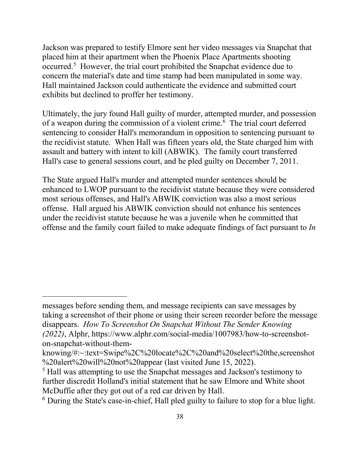Jackson was prepared to testify Elmore sent her video messages via Snapchat that placed him at their apartment when the Phoenix Place Apartments shooting occurred.<sup>[5](#page-37-0)</sup> However, the trial court prohibited the Snapchat evidence due to concern the material's date and time stamp had been manipulated in some way. Hall maintained Jackson could authenticate the evidence and submitted court exhibits but declined to proffer her testimony.

Ultimately, the jury found Hall guilty of murder, attempted murder, and possession of a weapon during the commission of a violent crime. [6](#page-37-1) The trial court deferred sentencing to consider Hall's memorandum in opposition to sentencing pursuant to the recidivist statute. When Hall was fifteen years old, the State charged him with assault and battery with intent to kill (ABWIK). The family court transferred Hall's case to general sessions court, and he pled guilty on December 7, 2011.

The State argued Hall's murder and attempted murder sentences should be enhanced to LWOP pursuant to the recidivist statute because they were considered most serious offenses, and Hall's ABWIK conviction was also a most serious offense. Hall argued his ABWIK conviction should not enhance his sentences under the recidivist statute because he was a juvenile when he committed that offense and the family court failed to make adequate findings of fact pursuant to *In* 

messages before sending them, and message recipients can save messages by taking a screenshot of their phone or using their screen recorder before the message disappears. *How To Screenshot On Snapchat Without The Sender Knowing (2022)*, Alphr, https://www.alphr.com/social-media/1007983/how-to-screenshoton-snapchat-without-them-

knowing/#:~:text=Swipe%2C%20locate%2C%20and%20select%20the,screenshot %20alert%20will%20not%20appear (last visited June 15, 2022).

<span id="page-37-0"></span><sup>5</sup> Hall was attempting to use the Snapchat messages and Jackson's testimony to further discredit Holland's initial statement that he saw Elmore and White shoot McDuffie after they got out of a red car driven by Hall.<br><sup>6</sup> During the State's case-in-chief, Hall pled guilty to failure to stop for a blue light.

<span id="page-37-1"></span>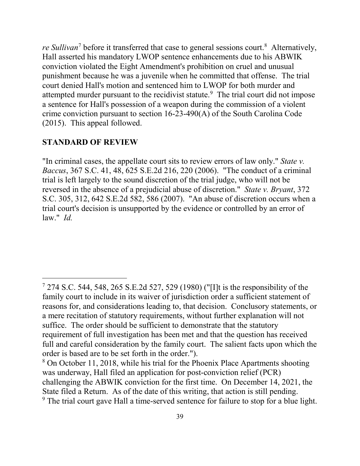*re Sullivan*[7](#page-38-0) before it transferred that case to general sessions court. [8](#page-38-1) Alternatively, Hall asserted his mandatory LWOP sentence enhancements due to his ABWIK conviction violated the Eight Amendment's prohibition on cruel and unusual punishment because he was a juvenile when he committed that offense. The trial court denied Hall's motion and sentenced him to LWOP for both murder and attempted murder pursuant to the recidivist statute.<sup>[9](#page-38-2)</sup> The trial court did not impose a sentence for Hall's possession of a weapon during the commission of a violent crime conviction pursuant to section 16-23-490(A) of the South Carolina Code (2015). This appeal followed.

#### **STANDARD OF REVIEW**

 $\overline{a}$ 

"In criminal cases, the appellate court sits to review errors of law only." *State v. Baccus*, 367 S.C. 41, 48, 625 S.E.2d 216, 220 (2006). "The conduct of a criminal trial is left largely to the sound discretion of the trial judge, who will not be reversed in the absence of a prejudicial abuse of discretion." *State v. Bryant*, 372 S.C. 305, 312, 642 S.E.2d 582, 586 (2007). "An abuse of discretion occurs when a trial court's decision is unsupported by the evidence or controlled by an error of law." *Id.*

<span id="page-38-0"></span><sup>7</sup> 274 S.C. 544, 548, 265 S.E.2d 527, 529 (1980) ("[I]t is the responsibility of the family court to include in its waiver of jurisdiction order a sufficient statement of reasons for, and considerations leading to, that decision. Conclusory statements, or a mere recitation of statutory requirements, without further explanation will not suffice. The order should be sufficient to demonstrate that the statutory requirement of full investigation has been met and that the question has received full and careful consideration by the family court. The salient facts upon which the order is based are to be set forth in the order.").

<span id="page-38-2"></span><span id="page-38-1"></span><sup>&</sup>lt;sup>8</sup> On October 11, 2018, while his trial for the Phoenix Place Apartments shooting was underway, Hall filed an application for post-conviction relief (PCR) challenging the ABWIK conviction for the first time. On December 14, 2021, the State filed a Return. As of the date of this writing, that action is still pending. <sup>9</sup> The trial court gave Hall a time-served sentence for failure to stop for a blue light.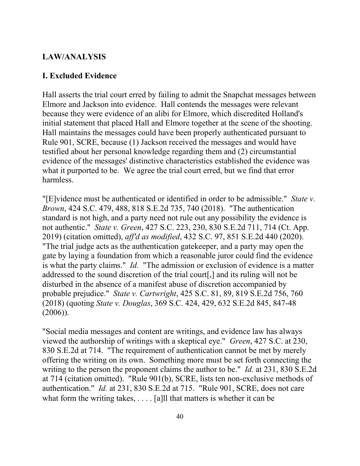#### **LAW/ANALYSIS**

#### **I. Excluded Evidence**

Hall asserts the trial court erred by failing to admit the Snapchat messages between Elmore and Jackson into evidence. Hall contends the messages were relevant because they were evidence of an alibi for Elmore, which discredited Holland's initial statement that placed Hall and Elmore together at the scene of the shooting. Hall maintains the messages could have been properly authenticated pursuant to Rule 901, SCRE, because (1) Jackson received the messages and would have testified about her personal knowledge regarding them and (2) circumstantial evidence of the messages' distinctive characteristics established the evidence was what it purported to be. We agree the trial court erred, but we find that error harmless.

"[E]vidence must be authenticated or identified in order to be admissible." *State v. Brown*, 424 S.C. 479, 488, 818 S.E.2d 735, 740 (2018). "The authentication standard is not high, and a party need not rule out any possibility the evidence is not authentic." *State v. Green*, 427 S.C. 223, 230, 830 S.E.2d 711, 714 (Ct. App. 2019) (citation omitted), *aff'd as modified*, 432 S.C. 97, 851 S.E.2d 440 (2020). "The trial judge acts as the authentication gatekeeper, and a party may open the gate by laying a foundation from which a reasonable juror could find the evidence is what the party claims." *Id.* "The admission or exclusion of evidence is a matter addressed to the sound discretion of the trial court[,] and its ruling will not be disturbed in the absence of a manifest abuse of discretion accompanied by probable prejudice." *State v. Cartwright*, 425 S.C. 81, 89, 819 S.E.2d 756, 760 (2018) (quoting *State v. Douglas*, 369 S.C. 424, 429, 632 S.E.2d 845, 847-48 (2006)).

"Social media messages and content are writings, and evidence law has always viewed the authorship of writings with a skeptical eye." *Green*, 427 S.C. at 230, 830 S.E.2d at 714. "The requirement of authentication cannot be met by merely offering the writing on its own. Something more must be set forth connecting the writing to the person the proponent claims the author to be." *Id.* at 231, 830 S.E.2d at 714 (citation omitted). "Rule 901(b), SCRE, lists ten non-exclusive methods of authentication." *Id.* at 231, 830 S.E.2d at 715. "Rule 901, SCRE, does not care what form the writing takes,  $\dots$  [a] that matters is whether it can be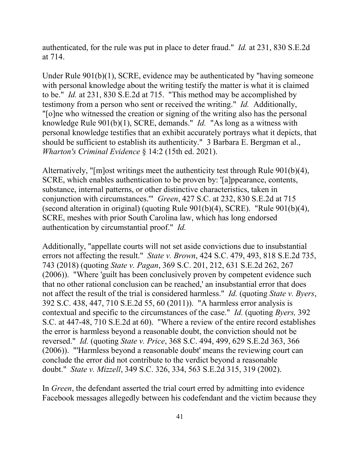authenticated, for the rule was put in place to deter fraud." *Id.* at 231, 830 S.E.2d at 714.

Under Rule 901(b)(1), SCRE, evidence may be authenticated by "having someone with personal knowledge about the writing testify the matter is what it is claimed to be." *Id.* at 231, 830 S.E.2d at 715. "This method may be accomplished by testimony from a person who sent or received the writing." *Id.* Additionally, "[o]ne who witnessed the creation or signing of the writing also has the personal knowledge Rule 901(b)(1), SCRE, demands." *Id.* "As long as a witness with personal knowledge testifies that an exhibit accurately portrays what it depicts, that should be sufficient to establish its authenticity." 3 Barbara E. Bergman et al., *Wharton's Criminal Evidence* § 14:2 (15th ed. 2021).

Alternatively, "[m]ost writings meet the authenticity test through Rule 901(b)(4), SCRE, which enables authentication to be proven by: '[a]ppearance, contents, substance, internal patterns, or other distinctive characteristics, taken in conjunction with circumstances.'" *Green*, 427 S.C. at 232, 830 S.E.2d at 715 (second alteration in original) (quoting Rule 901(b)(4), SCRE). "Rule 901(b)(4), SCRE, meshes with prior South Carolina law, which has long endorsed authentication by circumstantial proof." *Id.*

Additionally, "appellate courts will not set aside convictions due to insubstantial errors not affecting the result." *State v. Brown*, 424 S.C. 479, 493, 818 S.E.2d 735, 743 (2018) (quoting *State v. Pagan*, 369 S.C. 201, 212, 631 S.E.2d 262, 267 (2006)). "Where 'guilt has been conclusively proven by competent evidence such that no other rational conclusion can be reached,' an insubstantial error that does not affect the result of the trial is considered harmless." *Id.* (quoting *State v. Byers*, 392 S.C. 438, 447, 710 S.E.2d 55, 60 (2011)). "A harmless error analysis is contextual and specific to the circumstances of the case." *Id.* (quoting *Byers,* 392 S.C. at 447-48, 710 S.E.2d at 60). "Where a review of the entire record establishes the error is harmless beyond a reasonable doubt, the conviction should not be reversed." *Id.* (quoting *State v. Price*, 368 S.C. 494, 499, 629 S.E.2d 363, 366 (2006)). "'Harmless beyond a reasonable doubt' means the reviewing court can conclude the error did not contribute to the verdict beyond a reasonable doubt." *State v. Mizzell*, 349 S.C. 326, 334, 563 S.E.2d 315, 319 (2002).

In *Green*, the defendant asserted the trial court erred by admitting into evidence Facebook messages allegedly between his codefendant and the victim because they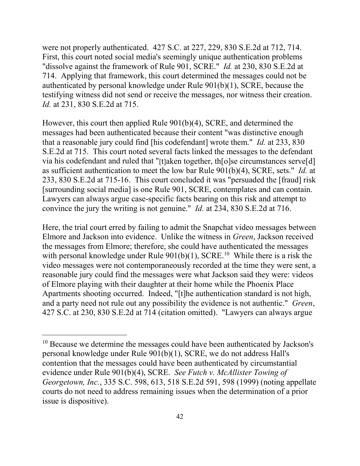were not properly authenticated. 427 S.C. at 227, 229, 830 S.E.2d at 712, 714. First, this court noted social media's seemingly unique authentication problems "dissolve against the framework of Rule 901, SCRE." *Id.* at 230, 830 S.E.2d at 714. Applying that framework, this court determined the messages could not be authenticated by personal knowledge under Rule 901(b)(1), SCRE, because the testifying witness did not send or receive the messages, nor witness their creation. *Id.* at 231, 830 S.E.2d at 715.

However, this court then applied Rule 901(b)(4), SCRE, and determined the messages had been authenticated because their content "was distinctive enough that a reasonable jury could find [his codefendant] wrote them." *Id.* at 233, 830 S.E.2d at 715. This court noted several facts linked the messages to the defendant via his codefendant and ruled that "[t]aken together, th[o]se circumstances serve[d] as sufficient authentication to meet the low bar Rule 901(b)(4), SCRE, sets." *Id.* at 233, 830 S.E.2d at 715-16. This court concluded it was "persuaded the [fraud] risk [surrounding social media] is one Rule 901, SCRE, contemplates and can contain. Lawyers can always argue case-specific facts bearing on this risk and attempt to convince the jury the writing is not genuine." *Id.* at 234, 830 S.E.2d at 716.

Here, the trial court erred by failing to admit the Snapchat video messages between Elmore and Jackson into evidence. Unlike the witness in *Green*, Jackson received the messages from Elmore; therefore, she could have authenticated the messages with personal knowledge under Rule  $901(b)(1)$ , SCRE.<sup>[10](#page-41-0)</sup> While there is a risk the video messages were not contemporaneously recorded at the time they were sent, a reasonable jury could find the messages were what Jackson said they were: videos of Elmore playing with their daughter at their home while the Phoenix Place Apartments shooting occurred. Indeed, "[t]he authentication standard is not high, and a party need not rule out any possibility the evidence is not authentic." *Green*, 427 S.C. at 230, 830 S.E.2d at 714 (citation omitted). "Lawyers can always argue

<span id="page-41-0"></span> $10$  Because we determine the messages could have been authenticated by Jackson's personal knowledge under Rule 901(b)(1), SCRE, we do not address Hall's contention that the messages could have been authenticated by circumstantial evidence under Rule 901(b)(4), SCRE. *See Futch v. McAllister Towing of Georgetown, Inc.*, 335 S.C. 598, 613, 518 S.E.2d 591, 598 (1999) (noting appellate courts do not need to address remaining issues when the determination of a prior issue is dispositive).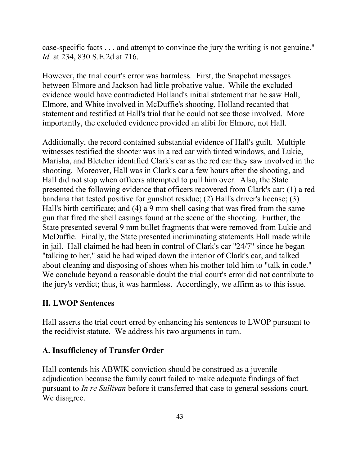case-specific facts . . . and attempt to convince the jury the writing is not genuine." *Id.* at 234, 830 S.E.2d at 716.

However, the trial court's error was harmless. First, the Snapchat messages between Elmore and Jackson had little probative value. While the excluded evidence would have contradicted Holland's initial statement that he saw Hall, Elmore, and White involved in McDuffie's shooting, Holland recanted that statement and testified at Hall's trial that he could not see those involved. More importantly, the excluded evidence provided an alibi for Elmore, not Hall.

Additionally, the record contained substantial evidence of Hall's guilt. Multiple witnesses testified the shooter was in a red car with tinted windows, and Lukie, Marisha, and Bletcher identified Clark's car as the red car they saw involved in the shooting. Moreover, Hall was in Clark's car a few hours after the shooting, and Hall did not stop when officers attempted to pull him over. Also, the State presented the following evidence that officers recovered from Clark's car: (1) a red bandana that tested positive for gunshot residue; (2) Hall's driver's license; (3) Hall's birth certificate; and (4) a 9 mm shell casing that was fired from the same gun that fired the shell casings found at the scene of the shooting. Further, the State presented several 9 mm bullet fragments that were removed from Lukie and McDuffie. Finally, the State presented incriminating statements Hall made while in jail. Hall claimed he had been in control of Clark's car "24/7" since he began "talking to her," said he had wiped down the interior of Clark's car, and talked about cleaning and disposing of shoes when his mother told him to "talk in code." We conclude beyond a reasonable doubt the trial court's error did not contribute to the jury's verdict; thus, it was harmless. Accordingly, we affirm as to this issue.

#### **II. LWOP Sentences**

Hall asserts the trial court erred by enhancing his sentences to LWOP pursuant to the recidivist statute. We address his two arguments in turn.

#### **A. Insufficiency of Transfer Order**

Hall contends his ABWIK conviction should be construed as a juvenile adjudication because the family court failed to make adequate findings of fact pursuant to *In re Sullivan* before it transferred that case to general sessions court. We disagree.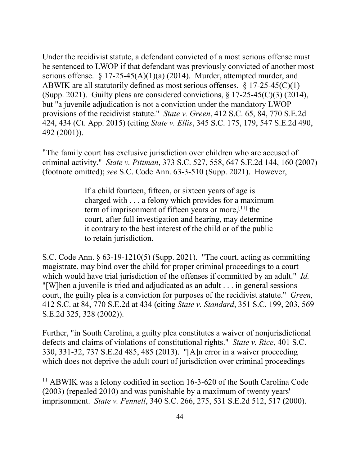Under the recidivist statute, a defendant convicted of a most serious offense must be sentenced to LWOP if that defendant was previously convicted of another most serious offense. § 17-25-45(A)(1)(a) (2014). Murder, attempted murder, and ABWIK are all statutorily defined as most serious offenses.  $\S 17-25-45(C)(1)$ (Supp. 2021). Guilty pleas are considered convictions,  $\S 17-25-45(C)(3)$  (2014), but "a juvenile adjudication is not a conviction under the mandatory LWOP provisions of the recidivist statute." *State v. Green*, 412 S.C. 65, 84, 770 S.E.2d 424, 434 (Ct. App. 2015) (citing *State v. Ellis*, 345 S.C. 175, 179, 547 S.E.2d 490, 492 (2001)).

"The family court has exclusive jurisdiction over children who are accused of criminal activity." *State v. Pittman*, 373 S.C. 527, 558, 647 S.E.2d 144, 160 (2007) (footnote omitted); *see* S.C. Code Ann. 63-3-510 (Supp. 2021). However,

> If a child fourteen, fifteen, or sixteen years of age is charged with . . . a felony which provides for a maximum term of imprisonment of fifteen years or more,  $[11]$  $[11]$  the court, after full investigation and hearing, may determine it contrary to the best interest of the child or of the public to retain jurisdiction.

S.C. Code Ann. § 63-19-1210(5) (Supp. 2021). "The court, acting as committing magistrate, may bind over the child for proper criminal proceedings to a court which would have trial jurisdiction of the offenses if committed by an adult." *Id.*  "[W]hen a juvenile is tried and adjudicated as an adult . . . in general sessions court, the guilty plea is a conviction for purposes of the recidivist statute." *Green,*  412 S.C. at 84, 770 S.E.2d at 434 (citing *State v. Standard*, 351 S.C. 199, 203, 569 S.E.2d 325, 328 (2002)).

Further, "in South Carolina, a guilty plea constitutes a waiver of nonjurisdictional defects and claims of violations of constitutional rights." *State v. Rice*, 401 S.C. 330, 331-32, 737 S.E.2d 485, 485 (2013). "[A]n error in a waiver proceeding which does not deprive the adult court of jurisdiction over criminal proceedings

<span id="page-43-0"></span><sup>&</sup>lt;sup>11</sup> ABWIK was a felony codified in section 16-3-620 of the South Carolina Code (2003) (repealed 2010) and was punishable by a maximum of twenty years' imprisonment. *State v. Fennell*, 340 S.C. 266, 275, 531 S.E.2d 512, 517 (2000).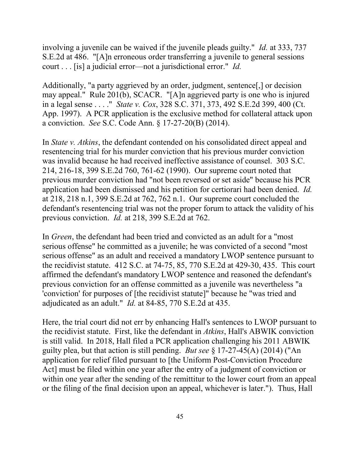involving a juvenile can be waived if the juvenile pleads guilty." *Id.* at 333, 737 S.E.2d at 486."[A]n erroneous order transferring a juvenile to general sessions court . . . [is] a judicial error—not a jurisdictional error." *Id.*

Additionally, "a party aggrieved by an order, judgment, sentence[,] or decision may appeal." Rule 201(b), SCACR. "[A]n aggrieved party is one who is injured in a legal sense . . . ." *State v. Cox*, 328 S.C. 371, 373, 492 S.E.2d 399, 400 (Ct. App. 1997). A PCR application is the exclusive method for collateral attack upon a conviction. *See* S.C. Code Ann. § 17-27-20(B) (2014).

In *State v. Atkins*, the defendant contended on his consolidated direct appeal and resentencing trial for his murder conviction that his previous murder conviction was invalid because he had received ineffective assistance of counsel. 303 S.C. 214, 216-18, 399 S.E.2d 760, 761-62 (1990). Our supreme court noted that previous murder conviction had "not been reversed or set aside" because his PCR application had been dismissed and his petition for certiorari had been denied. *Id.* at 218, 218 n.1, 399 S.E.2d at 762, 762 n.1. Our supreme court concluded the defendant's resentencing trial was not the proper forum to attack the validity of his previous conviction. *Id.* at 218, 399 S.E.2d at 762.

In *Green*, the defendant had been tried and convicted as an adult for a "most serious offense" he committed as a juvenile; he was convicted of a second "most serious offense" as an adult and received a mandatory LWOP sentence pursuant to the recidivist statute. 412 S.C. at 74-75, 85, 770 S.E.2d at 429-30, 435. This court affirmed the defendant's mandatory LWOP sentence and reasoned the defendant's previous conviction for an offense committed as a juvenile was nevertheless "a 'conviction' for purposes of [the recidivist statute]" because he "was tried and adjudicated as an adult." *Id.* at 84-85, 770 S.E.2d at 435.

Here, the trial court did not err by enhancing Hall's sentences to LWOP pursuant to the recidivist statute. First, like the defendant in *Atkins*, Hall's ABWIK conviction is still valid. In 2018, Hall filed a PCR application challenging his 2011 ABWIK guilty plea, but that action is still pending. *But see* § 17-27-45(A) (2014) ("An application for relief filed pursuant to [the Uniform Post-Conviction Procedure Act] must be filed within one year after the entry of a judgment of conviction or within one year after the sending of the remittitur to the lower court from an appeal or the filing of the final decision upon an appeal, whichever is later."). Thus, Hall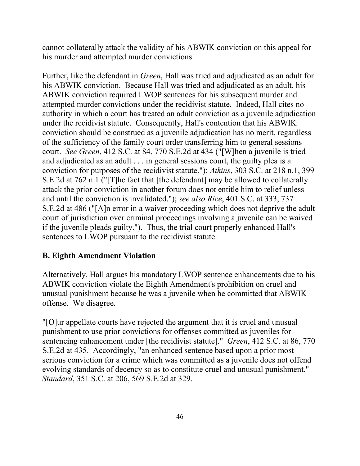cannot collaterally attack the validity of his ABWIK conviction on this appeal for his murder and attempted murder convictions.

Further, like the defendant in *Green*, Hall was tried and adjudicated as an adult for his ABWIK conviction. Because Hall was tried and adjudicated as an adult, his ABWIK conviction required LWOP sentences for his subsequent murder and attempted murder convictions under the recidivist statute. Indeed, Hall cites no authority in which a court has treated an adult conviction as a juvenile adjudication under the recidivist statute. Consequently, Hall's contention that his ABWIK conviction should be construed as a juvenile adjudication has no merit, regardless of the sufficiency of the family court order transferring him to general sessions court. *See Green*, 412 S.C. at 84, 770 S.E.2d at 434 ("[W]hen a juvenile is tried and adjudicated as an adult . . . in general sessions court, the guilty plea is a conviction for purposes of the recidivist statute."); *Atkins*, 303 S.C. at 218 n.1, 399 S.E.2d at 762 n.1 ("[T]he fact that [the defendant] may be allowed to collaterally attack the prior conviction in another forum does not entitle him to relief unless and until the conviction is invalidated."); *see also Rice*, 401 S.C. at 333, 737 S.E.2d at 486 ("[A]n error in a waiver proceeding which does not deprive the adult court of jurisdiction over criminal proceedings involving a juvenile can be waived if the juvenile pleads guilty."). Thus, the trial court properly enhanced Hall's sentences to LWOP pursuant to the recidivist statute.

# **B. Eighth Amendment Violation**

Alternatively, Hall argues his mandatory LWOP sentence enhancements due to his ABWIK conviction violate the Eighth Amendment's prohibition on cruel and unusual punishment because he was a juvenile when he committed that ABWIK offense. We disagree.

"[O]ur appellate courts have rejected the argument that it is cruel and unusual punishment to use prior convictions for offenses committed as juveniles for sentencing enhancement under [the recidivist statute]." *Green*, 412 S.C. at 86, 770 S.E.2d at 435. Accordingly, "an enhanced sentence based upon a prior most serious conviction for a crime which was committed as a juvenile does not offend evolving standards of decency so as to constitute cruel and unusual punishment." *Standard*, 351 S.C. at 206, 569 S.E.2d at 329.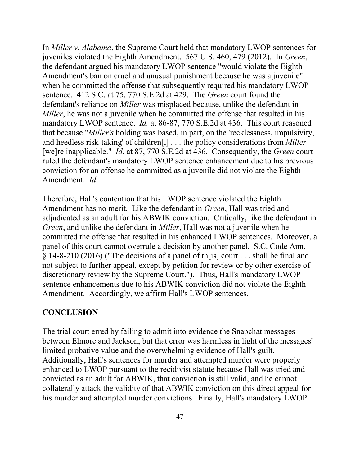In *Miller v. Alabama*, the Supreme Court held that mandatory LWOP sentences for juveniles violated the Eighth Amendment. 567 U.S. 460, 479 (2012). In *Green*, the defendant argued his mandatory LWOP sentence "would violate the Eighth Amendment's ban on cruel and unusual punishment because he was a juvenile" when he committed the offense that subsequently required his mandatory LWOP sentence. 412 S.C. at 75, 770 S.E.2d at 429. The *Green* court found the defendant's reliance on *Miller* was misplaced because, unlike the defendant in *Miller*, he was not a juvenile when he committed the offense that resulted in his mandatory LWOP sentence. *Id.* at 86-87, 770 S.E.2d at 436. This court reasoned that because "*Miller's* holding was based, in part, on the 'recklessness, impulsivity, and heedless risk-taking' of children[,] . . . the policy considerations from *Miller*  [we]re inapplicable." *Id.* at 87, 770 S.E.2d at 436.Consequently, the *Green* court ruled the defendant's mandatory LWOP sentence enhancement due to his previous conviction for an offense he committed as a juvenile did not violate the Eighth Amendment. *Id.* 

Therefore, Hall's contention that his LWOP sentence violated the Eighth Amendment has no merit. Like the defendant in *Green*, Hall was tried and adjudicated as an adult for his ABWIK conviction. Critically, like the defendant in *Green*, and unlike the defendant in *Miller*, Hall was not a juvenile when he committed the offense that resulted in his enhanced LWOP sentences. Moreover, a panel of this court cannot overrule a decision by another panel. S.C. Code Ann. § 14-8-210 (2016) ("The decisions of a panel of th[is] court . . . shall be final and not subject to further appeal, except by petition for review or by other exercise of discretionary review by the Supreme Court."). Thus, Hall's mandatory LWOP sentence enhancements due to his ABWIK conviction did not violate the Eighth Amendment. Accordingly, we affirm Hall's LWOP sentences.

#### **CONCLUSION**

The trial court erred by failing to admit into evidence the Snapchat messages between Elmore and Jackson, but that error was harmless in light of the messages' limited probative value and the overwhelming evidence of Hall's guilt. Additionally, Hall's sentences for murder and attempted murder were properly enhanced to LWOP pursuant to the recidivist statute because Hall was tried and convicted as an adult for ABWIK, that conviction is still valid, and he cannot collaterally attack the validity of that ABWIK conviction on this direct appeal for his murder and attempted murder convictions. Finally, Hall's mandatory LWOP